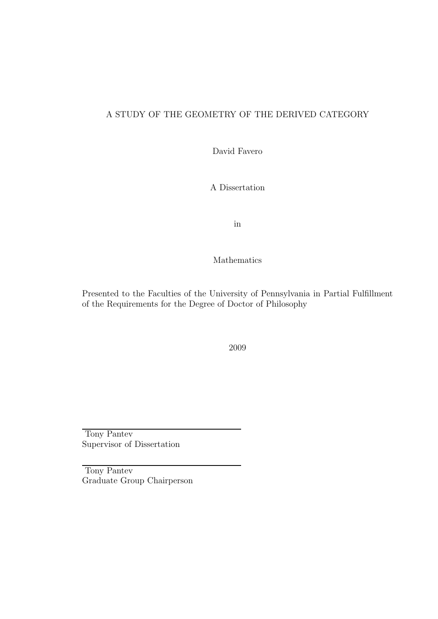### A STUDY OF THE GEOMETRY OF THE DERIVED CATEGORY

David Favero

A Dissertation

in

Mathematics

Presented to the Faculties of the University of Pennsylvania in Partial Fulfillment of the Requirements for the Degree of Doctor of Philosophy

2009

Tony Pantev Supervisor of Dissertation

Tony Pantev Graduate Group Chairperson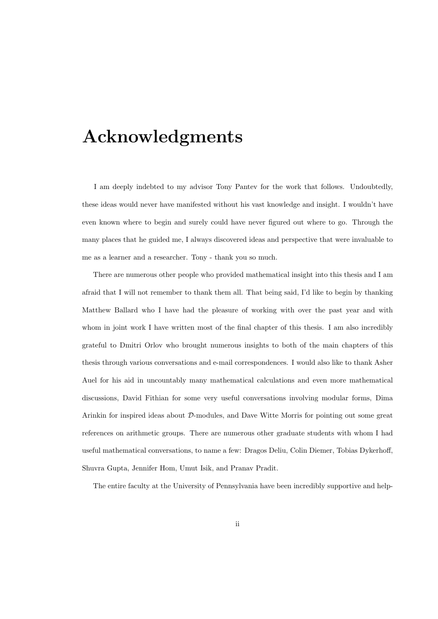## Acknowledgments

I am deeply indebted to my advisor Tony Pantev for the work that follows. Undoubtedly, these ideas would never have manifested without his vast knowledge and insight. I wouldn't have even known where to begin and surely could have never figured out where to go. Through the many places that he guided me, I always discovered ideas and perspective that were invaluable to me as a learner and a researcher. Tony - thank you so much.

There are numerous other people who provided mathematical insight into this thesis and I am afraid that I will not remember to thank them all. That being said, I'd like to begin by thanking Matthew Ballard who I have had the pleasure of working with over the past year and with whom in joint work I have written most of the final chapter of this thesis. I am also incredibly grateful to Dmitri Orlov who brought numerous insights to both of the main chapters of this thesis through various conversations and e-mail correspondences. I would also like to thank Asher Auel for his aid in uncountably many mathematical calculations and even more mathematical discussions, David Fithian for some very useful conversations involving modular forms, Dima Arinkin for inspired ideas about D-modules, and Dave Witte Morris for pointing out some great references on arithmetic groups. There are numerous other graduate students with whom I had useful mathematical conversations, to name a few: Dragos Deliu, Colin Diemer, Tobias Dykerhoff, Shuvra Gupta, Jennifer Hom, Umut Isik, and Pranav Pradit.

The entire faculty at the University of Pennsylvania have been incredibly supportive and help-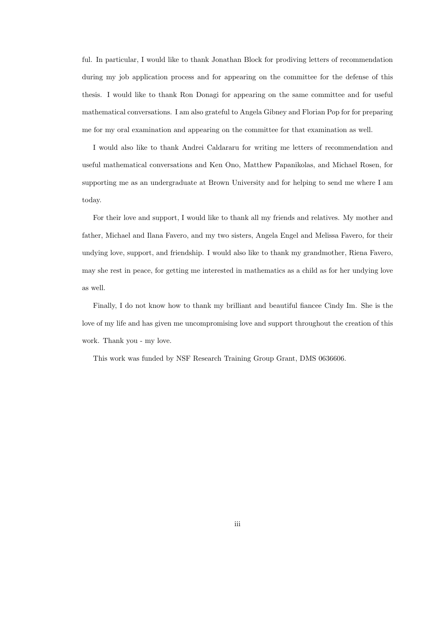ful. In particular, I would like to thank Jonathan Block for prodiving letters of recommendation during my job application process and for appearing on the committee for the defense of this thesis. I would like to thank Ron Donagi for appearing on the same committee and for useful mathematical conversations. I am also grateful to Angela Gibney and Florian Pop for for preparing me for my oral examination and appearing on the committee for that examination as well.

I would also like to thank Andrei Caldararu for writing me letters of recommendation and useful mathematical conversations and Ken Ono, Matthew Papanikolas, and Michael Rosen, for supporting me as an undergraduate at Brown University and for helping to send me where I am today.

For their love and support, I would like to thank all my friends and relatives. My mother and father, Michael and Ilana Favero, and my two sisters, Angela Engel and Melissa Favero, for their undying love, support, and friendship. I would also like to thank my grandmother, Riena Favero, may she rest in peace, for getting me interested in mathematics as a child as for her undying love as well.

Finally, I do not know how to thank my brilliant and beautiful fiancee Cindy Im. She is the love of my life and has given me uncompromising love and support throughout the creation of this work. Thank you - my love.

This work was funded by NSF Research Training Group Grant, DMS 0636606.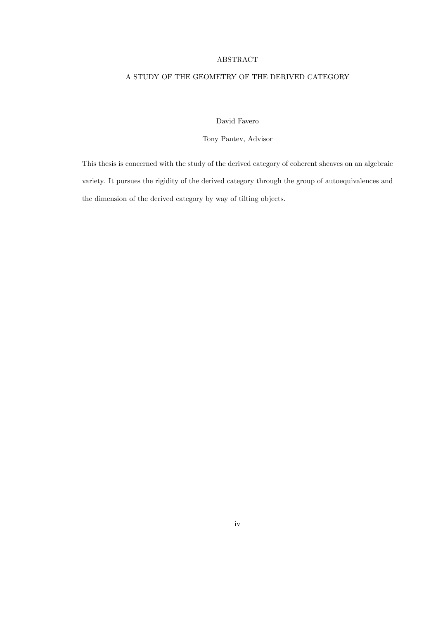#### ABSTRACT

### A STUDY OF THE GEOMETRY OF THE DERIVED CATEGORY

David Favero

Tony Pantev, Advisor

This thesis is concerned with the study of the derived category of coherent sheaves on an algebraic variety. It pursues the rigidity of the derived category through the group of autoequivalences and the dimension of the derived category by way of tilting objects.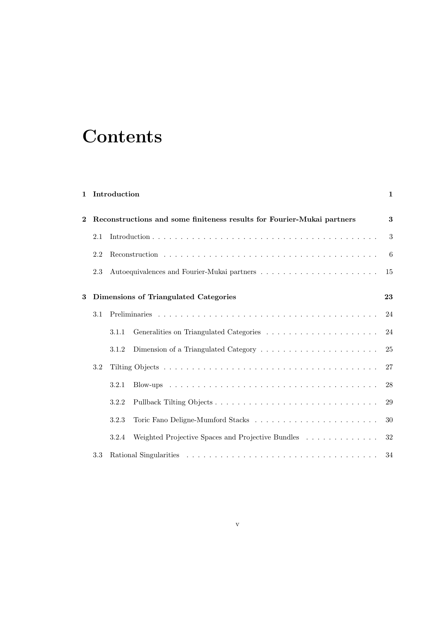# **Contents**

### 1 Introduction 1

| $\bf{2}$ |     | Reconstructions and some finiteness results for Fourier-Mukai partners | 3    |
|----------|-----|------------------------------------------------------------------------|------|
|          | 2.1 |                                                                        | 3    |
|          | 2.2 |                                                                        | $-6$ |
|          | 2.3 |                                                                        |      |
| 3        |     |                                                                        | 23   |
|          |     | Dimensions of Triangulated Categories                                  |      |
|          | 3.1 |                                                                        |      |
|          |     | 3.1.1                                                                  |      |
|          |     | 3.1.2                                                                  | 25   |
|          | 3.2 |                                                                        | 27   |
|          |     | 3.2.1                                                                  | 28   |
|          |     | 3.2.2                                                                  | 29   |
|          |     | 3.2.3                                                                  | 30   |
|          |     | Weighted Projective Spaces and Projective Bundles<br>3.2.4             | 32   |
|          | 3.3 |                                                                        | 34   |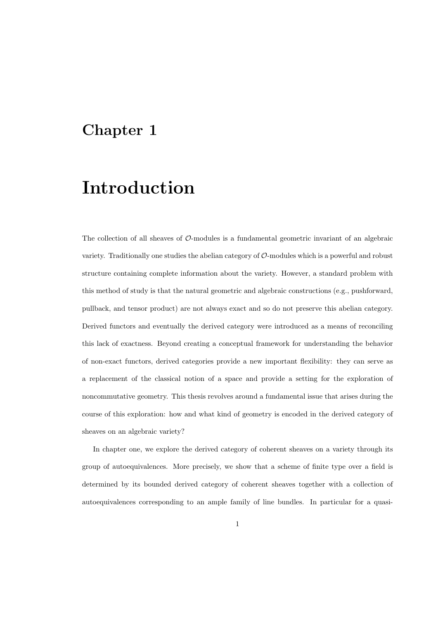### Chapter 1

## Introduction

The collection of all sheaves of  $\mathcal{O}$ -modules is a fundamental geometric invariant of an algebraic variety. Traditionally one studies the abelian category of  $\mathcal{O}$ -modules which is a powerful and robust structure containing complete information about the variety. However, a standard problem with this method of study is that the natural geometric and algebraic constructions (e.g., pushforward, pullback, and tensor product) are not always exact and so do not preserve this abelian category. Derived functors and eventually the derived category were introduced as a means of reconciling this lack of exactness. Beyond creating a conceptual framework for understanding the behavior of non-exact functors, derived categories provide a new important flexibility: they can serve as a replacement of the classical notion of a space and provide a setting for the exploration of noncommutative geometry. This thesis revolves around a fundamental issue that arises during the course of this exploration: how and what kind of geometry is encoded in the derived category of sheaves on an algebraic variety?

In chapter one, we explore the derived category of coherent sheaves on a variety through its group of autoequivalences. More precisely, we show that a scheme of finite type over a field is determined by its bounded derived category of coherent sheaves together with a collection of autoequivalences corresponding to an ample family of line bundles. In particular for a quasi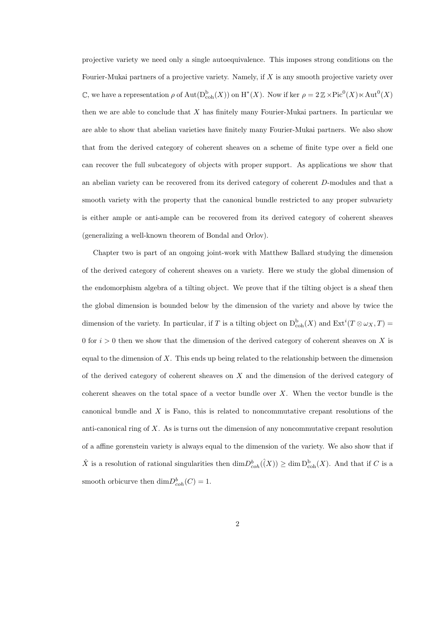projective variety we need only a single autoequivalence. This imposes strong conditions on the Fourier-Mukai partners of a projective variety. Namely, if X is any smooth projective variety over C, we have a representation  $\rho$  of  $\text{Aut}(\mathcal{D}^{\text{b}}_{\text{coh}}(X))$  on  $\text{H}^*(X)$ . Now if ker  $\rho = 2 \mathbb{Z} \times \text{Pic}^0(X) \ltimes \text{Aut}^0(X)$ then we are able to conclude that  $X$  has finitely many Fourier-Mukai partners. In particular we are able to show that abelian varieties have finitely many Fourier-Mukai partners. We also show that from the derived category of coherent sheaves on a scheme of finite type over a field one can recover the full subcategory of objects with proper support. As applications we show that an abelian variety can be recovered from its derived category of coherent D-modules and that a smooth variety with the property that the canonical bundle restricted to any proper subvariety is either ample or anti-ample can be recovered from its derived category of coherent sheaves (generalizing a well-known theorem of Bondal and Orlov).

Chapter two is part of an ongoing joint-work with Matthew Ballard studying the dimension of the derived category of coherent sheaves on a variety. Here we study the global dimension of the endomorphism algebra of a tilting object. We prove that if the tilting object is a sheaf then the global dimension is bounded below by the dimension of the variety and above by twice the dimension of the variety. In particular, if T is a tilting object on  $D_{\text{coh}}^{b}(X)$  and  $\text{Ext}^{i}(T \otimes \omega_{X}, T)$ 0 for  $i > 0$  then we show that the dimension of the derived category of coherent sheaves on X is equal to the dimension of  $X$ . This ends up being related to the relationship between the dimension of the derived category of coherent sheaves on X and the dimension of the derived category of coherent sheaves on the total space of a vector bundle over  $X$ . When the vector bundle is the canonical bundle and  $X$  is Fano, this is related to noncommutative crepant resolutions of the anti-canonical ring of X. As is turns out the dimension of any noncommutative crepant resolution of a affine gorenstein variety is always equal to the dimension of the variety. We also show that if  $\hat{X}$  is a resolution of rational singularities then  $\dim D^b_{coh}(\hat{(X)}) \geq \dim D^b_{coh}(X)$ . And that if C is a smooth orbicurve then  $\dim D^b_{coh}(C) = 1$ .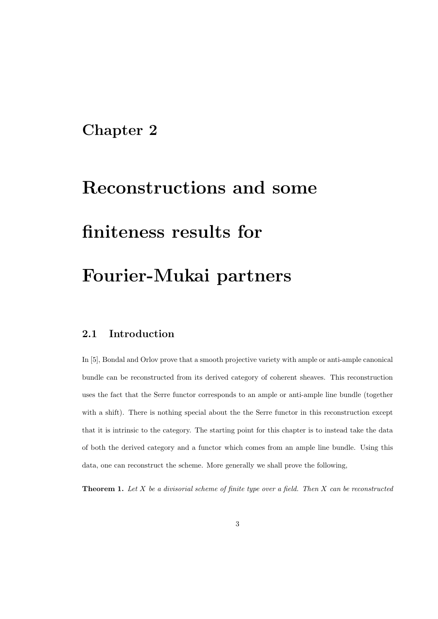## Chapter 2

# Reconstructions and some finiteness results for Fourier-Mukai partners

### 2.1 Introduction

In [5], Bondal and Orlov prove that a smooth projective variety with ample or anti-ample canonical bundle can be reconstructed from its derived category of coherent sheaves. This reconstruction uses the fact that the Serre functor corresponds to an ample or anti-ample line bundle (together with a shift). There is nothing special about the the Serre functor in this reconstruction except that it is intrinsic to the category. The starting point for this chapter is to instead take the data of both the derived category and a functor which comes from an ample line bundle. Using this data, one can reconstruct the scheme. More generally we shall prove the following,

**Theorem 1.** Let  $X$  be a divisorial scheme of finite type over a field. Then  $X$  can be reconstructed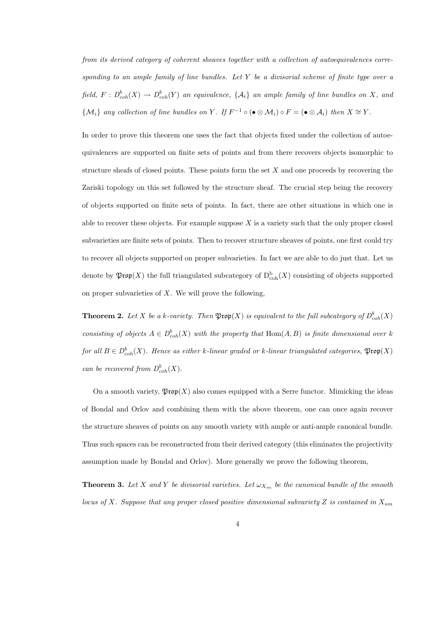from its derived category of coherent sheaves together with a collection of autoequivalences corresponding to an ample family of line bundles. Let  $Y$  be a divisorial scheme of finite type over a field,  $F: D^b_{coh}(X) \to D^b_{coh}(Y)$  an equivalence,  $\{\mathcal{A}_i\}$  an ample family of line bundles on X, and  $\{\mathcal{M}_i\}$  any collection of line bundles on Y. If  $F^{-1} \circ (\bullet \otimes \mathcal{M}_i) \circ F = (\bullet \otimes \mathcal{A}_i)$  then  $X \cong Y$ .

In order to prove this theorem one uses the fact that objects fixed under the collection of autoequivalences are supported on finite sets of points and from there recovers objects isomorphic to structure sheafs of closed points. These points form the set  $X$  and one proceeds by recovering the Zariski topology on this set followed by the structure sheaf. The crucial step being the recovery of objects supported on finite sets of points. In fact, there are other situations in which one is able to recover these objects. For example suppose  $X$  is a variety such that the only proper closed subvarieties are finite sets of points. Then to recover structure sheaves of points, one first could try to recover all objects supported on proper subvarieties. In fact we are able to do just that. Let us denote by  $\mathfrak{Prop}(X)$  the full triangulated subcategory of  $D^{\mathrm{b}}_{\mathrm{coh}}(X)$  consisting of objects supported on proper subvarieties of  $X$ . We will prove the following,

**Theorem 2.** Let X be a k-variety. Then  $\mathfrak{Prop}(X)$  is equivalent to the full subcategory of  $D^b_{coh}(X)$ consisting of objects  $A \in D^b_{coh}(X)$  with the property that  $\text{Hom}(A, B)$  is finite dimensional over k for all  $B\in D^b_{coh}(X)$ . Hence as either k-linear graded or k-linear triangulated categories,  $\mathfrak{Prop}(X)$ can be recovered from  $D^b_{coh}(X)$ .

On a smooth variety,  $\mathfrak{Prop}(X)$  also comes equipped with a Serre functor. Mimicking the ideas of Bondal and Orlov and combining them with the above theorem, one can once again recover the structure sheaves of points on any smooth variety with ample or anti-ample canonical bundle. Thus such spaces can be reconstructed from their derived category (this eliminates the projectivity assumption made by Bondal and Orlov). More generally we prove the following theorem,

**Theorem 3.** Let X and Y be divisorial varieties. Let  $\omega_{X_{sm}}$  be the canonical bundle of the smooth locus of X. Suppose that any proper closed positive dimensional subvariety Z is contained in  $X_{sm}$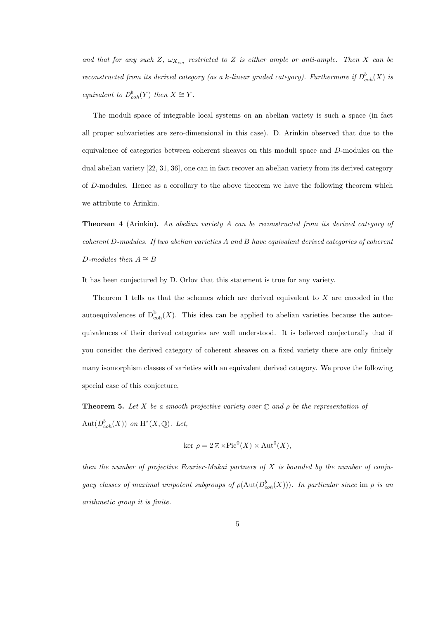and that for any such Z,  $\omega_{X_{sm}}$  restricted to Z is either ample or anti-ample. Then X can be reconstructed from its derived category (as a k-linear graded category). Furthermore if  $D^b_{coh}(X)$  is equivalent to  $D^b_{coh}(Y)$  then  $X \cong Y$ .

The moduli space of integrable local systems on an abelian variety is such a space (in fact all proper subvarieties are zero-dimensional in this case). D. Arinkin observed that due to the equivalence of categories between coherent sheaves on this moduli space and D-modules on the dual abelian variety [22, 31, 36], one can in fact recover an abelian variety from its derived category of D-modules. Hence as a corollary to the above theorem we have the following theorem which we attribute to Arinkin.

Theorem 4 (Arinkin). An abelian variety A can be reconstructed from its derived category of coherent D-modules. If two abelian varieties A and B have equivalent derived categories of coherent D-modules then  $A \cong B$ 

It has been conjectured by D. Orlov that this statement is true for any variety.

Theorem 1 tells us that the schemes which are derived equivalent to X are encoded in the autoequivalences of  $D^b_{\text{coh}}(X)$ . This idea can be applied to abelian varieties because the autoequivalences of their derived categories are well understood. It is believed conjecturally that if you consider the derived category of coherent sheaves on a fixed variety there are only finitely many isomorphism classes of varieties with an equivalent derived category. We prove the following special case of this conjecture,

**Theorem 5.** Let X be a smooth projective variety over  $\mathbb C$  and  $\rho$  be the representation of Aut $(D^b_{coh}(X))$  on  $H^*(X, \mathbb{Q})$ . Let,

$$
\ker \rho = 2 \mathbb{Z} \times \text{Pic}^0(X) \ltimes \text{Aut}^0(X),
$$

then the number of projective Fourier-Mukai partners of  $X$  is bounded by the number of conjugacy classes of maximal unipotent subgroups of  $\rho(\text{Aut}(D^b_{coh}(X)))$ . In particular since im  $\rho$  is an arithmetic group it is finite.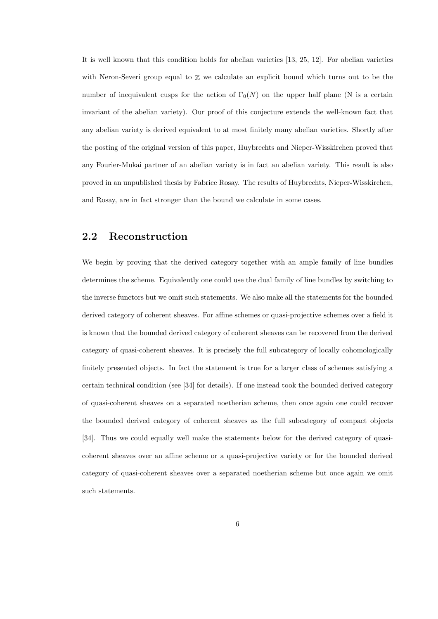It is well known that this condition holds for abelian varieties [13, 25, 12]. For abelian varieties with Neron-Severi group equal to  $\mathbb Z$  we calculate an explicit bound which turns out to be the number of inequivalent cusps for the action of  $\Gamma_0(N)$  on the upper half plane (N is a certain invariant of the abelian variety). Our proof of this conjecture extends the well-known fact that any abelian variety is derived equivalent to at most finitely many abelian varieties. Shortly after the posting of the original version of this paper, Huybrechts and Nieper-Wisskirchen proved that any Fourier-Mukai partner of an abelian variety is in fact an abelian variety. This result is also proved in an unpublished thesis by Fabrice Rosay. The results of Huybrechts, Nieper-Wisskirchen, and Rosay, are in fact stronger than the bound we calculate in some cases.

### 2.2 Reconstruction

We begin by proving that the derived category together with an ample family of line bundles determines the scheme. Equivalently one could use the dual family of line bundles by switching to the inverse functors but we omit such statements. We also make all the statements for the bounded derived category of coherent sheaves. For affine schemes or quasi-projective schemes over a field it is known that the bounded derived category of coherent sheaves can be recovered from the derived category of quasi-coherent sheaves. It is precisely the full subcategory of locally cohomologically finitely presented objects. In fact the statement is true for a larger class of schemes satisfying a certain technical condition (see [34] for details). If one instead took the bounded derived category of quasi-coherent sheaves on a separated noetherian scheme, then once again one could recover the bounded derived category of coherent sheaves as the full subcategory of compact objects [34]. Thus we could equally well make the statements below for the derived category of quasicoherent sheaves over an affine scheme or a quasi-projective variety or for the bounded derived category of quasi-coherent sheaves over a separated noetherian scheme but once again we omit such statements.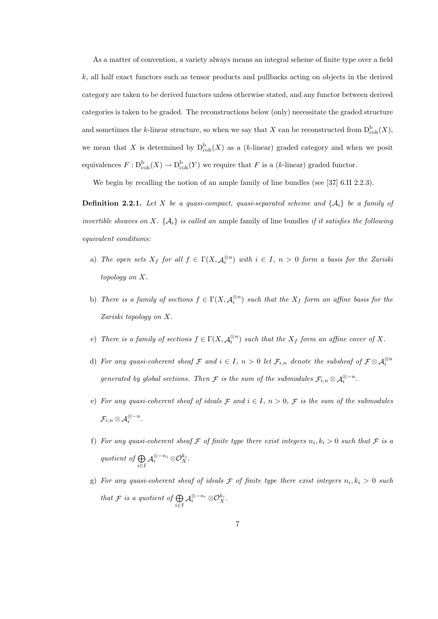As a matter of convention, a variety always means an integral scheme of finite type over a field  $k$ , all half exact functors such as tensor products and pullbacks acting on objects in the derived category are taken to be derived functors unless otherwise stated, and any functor between derived categories is taken to be graded. The reconstructions below (only) necessitate the graded structure and sometimes the k-linear structure, so when we say that X can be reconstructed from  $D_{\text{coh}}^{b}(X)$ , we mean that X is determined by  $D_{\text{coh}}^{b}(X)$  as a (k-linear) graded category and when we posit equivalences  $F : D^{\text{b}}_{\text{coh}}(X) \to D^{\text{b}}_{\text{coh}}(Y)$  we require that F is a (k-linear) graded functor.

We begin by recalling the notion of an ample family of line bundles (see [37] 6.II 2.2.3).

**Definition 2.2.1.** Let X be a quasi-compact, quasi-separated scheme and  $\{A_i\}$  be a family of invertible sheaves on X.  $\{A_i\}$  is called an ample family of line bundles if it satisfies the following equivalent conditions:

- a) The open sets  $X_f$  for all  $f \in \Gamma(X, \mathcal{A}_i^{\otimes n})$  with  $i \in I$ ,  $n > 0$  form a basis for the Zariski topology on X.
- b) There is a family of sections  $f \in \Gamma(X, \mathcal{A}_i^{\otimes n})$  such that the  $X_f$  form an affine basis for the Zariski topology on X.
- c) There is a family of sections  $f \in \Gamma(X, \mathcal{A}_i^{\otimes n})$  such that the  $X_f$  form an affine cover of X.
- d) For any quasi-coherent sheaf  $\mathcal F$  and  $i \in I$ ,  $n > 0$  let  $\mathcal F_{i,n}$  denote the subsheaf of  $\mathcal F \otimes \mathcal A_i^{\otimes n}$ generated by global sections. Then  $\mathcal F$  is the sum of the submodules  $\mathcal F_{i,n}\otimes \mathcal A_i^{\otimes -n}$ .
- e) For any quasi-coherent sheaf of ideals  $\mathcal F$  and  $i \in I$ ,  $n > 0$ ,  $\mathcal F$  is the sum of the submodules  $\mathcal{F}_{i,n}\otimes \mathcal{A}_i^{\otimes -n}.$
- f) For any quasi-coherent sheaf  $\mathcal F$  of finite type there exist integers  $n_i, k_i > 0$  such that  $\mathcal F$  is a quotient of  $\bigoplus$  $\bigoplus_{i\in I}\mathcal{A}_i^{\otimes -n_i}\otimes \mathcal{O}_X^{k_i}.$
- g) For any quasi-coherent sheaf of ideals  $\mathcal F$  of finite type there exist integers  $n_i, k_i > 0$  such that  $\mathcal F$  is a quotient of  $\bigoplus_{i\in I} \mathcal A_i^{\otimes -n_i}\otimes \mathcal O_X^{k_i}.$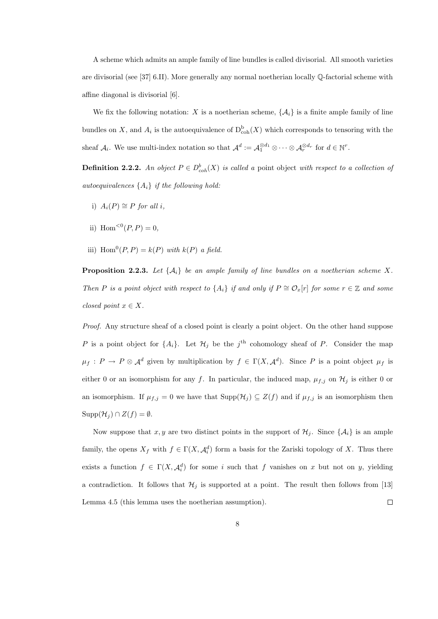A scheme which admits an ample family of line bundles is called divisorial. All smooth varieties are divisorial (see [37] 6.II). More generally any normal noetherian locally Q-factorial scheme with affine diagonal is divisorial [6].

We fix the following notation: X is a noetherian scheme,  $\{\mathcal{A}_i\}$  is a finite ample family of line bundles on X, and  $A_i$  is the autoequivalence of  $D_{\text{coh}}^{\text{b}}(X)$  which corresponds to tensoring with the sheaf  $\mathcal{A}_i$ . We use multi-index notation so that  $\mathcal{A}^d := \mathcal{A}_1^{\otimes d_1} \otimes \cdots \otimes \mathcal{A}_r^{\otimes d_r}$  for  $d \in \mathbb{N}^r$ .

**Definition 2.2.2.** An object  $P \in D^b_{coh}(X)$  is called a point object with respect to a collection of autoequivalences  $\{A_i\}$  if the following hold:

- i)  $A_i(P) \cong P$  for all i.
- ii)  $\text{Hom}^{<0}(P, P) = 0$ ,
- iii)  $\text{Hom}^0(P, P) = k(P)$  with  $k(P)$  a field.

**Proposition 2.2.3.** Let  $\{A_i\}$  be an ample family of line bundles on a noetherian scheme X. Then P is a point object with respect to  $\{A_i\}$  if and only if  $P \cong \mathcal{O}_x[r]$  for some  $r \in \mathbb{Z}$  and some closed point  $x \in X$ .

Proof. Any structure sheaf of a closed point is clearly a point object. On the other hand suppose P is a point object for  $\{A_i\}$ . Let  $\mathcal{H}_j$  be the j<sup>th</sup> cohomology sheaf of P. Consider the map  $\mu_f: P \to P \otimes \mathcal{A}^d$  given by multiplication by  $f \in \Gamma(X, \mathcal{A}^d)$ . Since P is a point object  $\mu_f$  is either 0 or an isomorphism for any f. In particular, the induced map,  $\mu_{f,j}$  on  $\mathcal{H}_j$  is either 0 or an isomorphism. If  $\mu_{f,j} = 0$  we have that  $\text{Supp}(\mathcal{H}_j) \subseteq Z(f)$  and if  $\mu_{f,j}$  is an isomorphism then  $\text{Supp}(\mathcal{H}_j) \cap Z(f) = \emptyset.$ 

Now suppose that x, y are two distinct points in the support of  $\mathcal{H}_i$ . Since  $\{\mathcal{A}_i\}$  is an ample family, the opens  $X_f$  with  $f \in \Gamma(X, \mathcal{A}_i^d)$  form a basis for the Zariski topology of X. Thus there exists a function  $f \in \Gamma(X, \mathcal{A}_i^d)$  for some i such that f vanishes on x but not on y, yielding a contradiction. It follows that  $\mathcal{H}_j$  is supported at a point. The result then follows from [13] Lemma 4.5 (this lemma uses the noetherian assumption).  $\Box$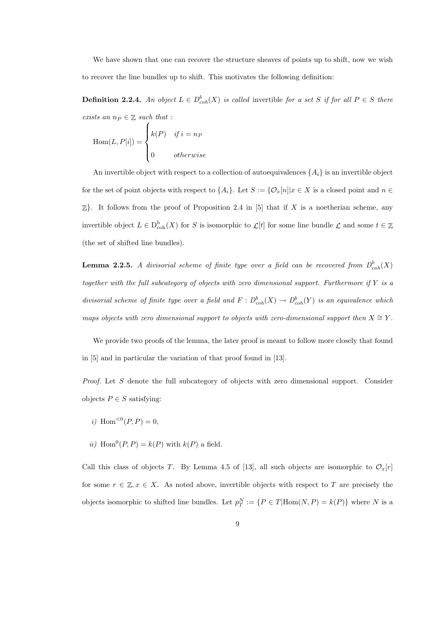We have shown that one can recover the structure sheaves of points up to shift, now we wish to recover the line bundles up to shift. This motivates the following definition:

**Definition 2.2.4.** An object  $L \in D^b_{coh}(X)$  is called invertible for a set S if for all  $P \in S$  there exists an  $n_P \in \mathbb{Z}$  such that :

$$
\text{Hom}(L, P[i]) = \begin{cases} k(P) & \text{if } i = n_P \\ 0 & \text{otherwise} \end{cases}
$$

An invertible object with respect to a collection of autoequivalences  $\{A_i\}$  is an invertible object for the set of point objects with respect to  $\{A_i\}$ . Let  $S := \{O_x[n]|x \in X$  is a closed point and  $n \in \{O_x[n]|x \in X\}$  $\mathbb{Z}$ . It follows from the proof of Proposition 2.4 in [5] that if X is a noetherian scheme, any invertible object  $L \in D^{\text{b}}_{\text{coh}}(X)$  for S is isomorphic to  $\mathcal{L}[t]$  for some line bundle  $\mathcal{L}$  and some  $t \in \mathbb{Z}$ (the set of shifted line bundles).

**Lemma 2.2.5.** A divisorial scheme of finite type over a field can be recovered from  $D^b_{coh}(X)$ together with the full subcategory of objects with zero dimensional support. Furthermore if  $Y$  is a divisorial scheme of finite type over a field and  $F: D^b_{coh}(X) \to D^b_{coh}(Y)$  is an equivalence which maps objects with zero dimensional support to objects with zero-dimensional support then  $X \cong Y$ .

We provide two proofs of the lemma, the later proof is meant to follow more closely that found in [5] and in particular the variation of that proof found in [13].

Proof. Let S denote the full subcategory of objects with zero dimensional support. Consider objects  $P \in S$  satisfying:

- i) Hom<sup><0</sup> $(P, P) = 0$ ,
- ii) Hom<sup>0</sup> $(P, P) = k(P)$  with  $k(P)$  a field.

Call this class of objects T. By Lemma 4.5 of [13], all such objects are isomorphic to  $\mathcal{O}_x[r]$ for some  $r \in \mathbb{Z}, x \in X$ . As noted above, invertible objects with respect to T are precisely the objects isomorphic to shifted line bundles. Let  $p_T^N := \{P \in T | \text{Hom}(N, P) = k(P)\}\$  where N is a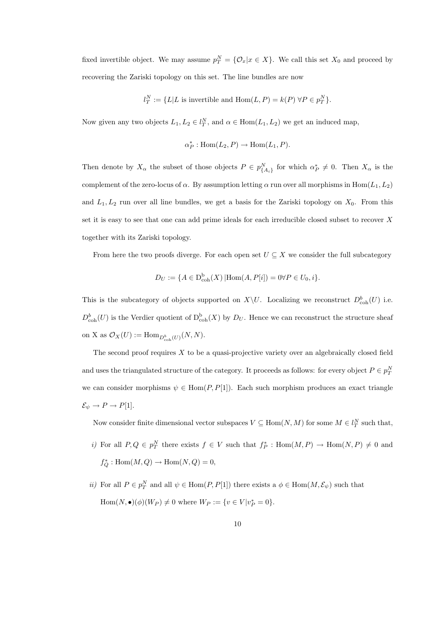fixed invertible object. We may assume  $p_T^N = \{ \mathcal{O}_x | x \in X \}$ . We call this set  $X_0$  and proceed by recovering the Zariski topology on this set. The line bundles are now

$$
l_T^N := \{ L | L \text{ is invertible and } \text{Hom}(L, P) = k(P) \,\forall P \in p_T^N \}.
$$

Now given any two objects  $L_1, L_2 \in l_T^N$ , and  $\alpha \in \text{Hom}(L_1, L_2)$  we get an induced map,

$$
\alpha_P^* : \text{Hom}(L_2, P) \to \text{Hom}(L_1, P).
$$

Then denote by  $X_{\alpha}$  the subset of those objects  $P \in p_{\{A_i\}}^N$  for which  $\alpha_P^* \neq 0$ . Then  $X_{\alpha}$  is the complement of the zero-locus of  $\alpha$ . By assumption letting  $\alpha$  run over all morphisms in Hom $(L_1, L_2)$ and  $L_1, L_2$  run over all line bundles, we get a basis for the Zariski topology on  $X_0$ . From this set it is easy to see that one can add prime ideals for each irreducible closed subset to recover X together with its Zariski topology.

From here the two proofs diverge. For each open set  $U \subseteq X$  we consider the full subcategory

$$
D_U := \{ A \in D_{\rm coh}^{\rm b}(X) \, | \text{Hom}(A, P[i]) = 0 \forall P \in U_0, i \}.
$$

This is the subcategory of objects supported on  $X\setminus U$ . Localizing we reconstruct  $D^b_{\text{coh}}(U)$  i.e.  $D_{\rm coh}^b(U)$  is the Verdier quotient of  $D_{\rm coh}^b(X)$  by  $D_U$ . Hence we can reconstruct the structure sheaf on X as  $\mathcal{O}_X(U) := \text{Hom}_{D^b_{coh}(U)}(N, N)$ .

The second proof requires  $X$  to be a quasi-projective variety over an algebraically closed field and uses the triangulated structure of the category. It proceeds as follows: for every object  $P \in p_T^N$ we can consider morphisms  $\psi \in \text{Hom}(P, P[1])$ . Each such morphism produces an exact triangle  $\mathcal{E}_{\psi} \to P \to P[1].$ 

Now consider finite dimensional vector subspaces  $V \subseteq Hom(N, M)$  for some  $M \in l_T^N$  such that,

- i) For all  $P,Q \in p_T^N$  there exists  $f \in V$  such that  $f_P^* : \text{Hom}(M,P) \to \text{Hom}(N,P) \neq 0$  and  $f_Q^* : \text{Hom}(M, Q) \to \text{Hom}(N, Q) = 0,$
- *ii*) For all  $P \in p_T^N$  and all  $\psi \in \text{Hom}(P, P[1])$  there exists a  $\phi \in \text{Hom}(M, \mathcal{E}_{\psi})$  such that  $\text{Hom}(N, \bullet)(\phi)(W_P) \neq 0 \text{ where } W_P := \{v \in V | v_P^* = 0\}.$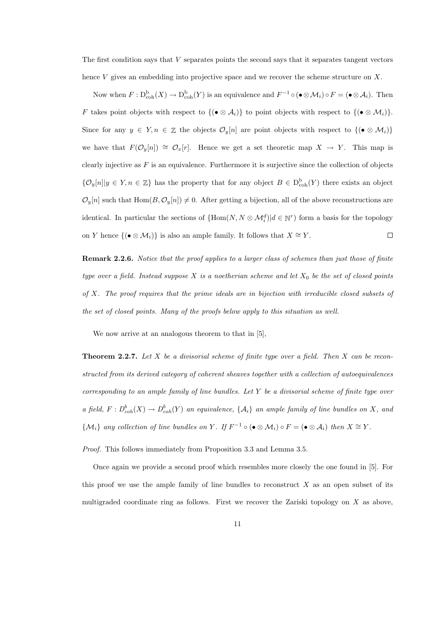The first condition says that V separates points the second says that it separates tangent vectors hence V gives an embedding into projective space and we recover the scheme structure on X.

Now when  $F: \mathcal{D}^{\mathcal{b}}_{\mathrm{coh}}(X) \to \mathcal{D}^{\mathcal{b}}_{\mathrm{coh}}(Y)$  is an equivalence and  $F^{-1} \circ (\bullet \otimes \mathcal{M}_i) \circ F = (\bullet \otimes \mathcal{A}_i)$ . Then F takes point objects with respect to  $\{(\bullet \otimes A_i)\}\)$  to point objects with respect to  $\{(\bullet \otimes M_i)\}\$ . Since for any  $y \in Y, n \in \mathbb{Z}$  the objects  $\mathcal{O}_y[n]$  are point objects with respect to  $\{(\bullet \otimes \mathcal{M}_i)\}$ we have that  $F(\mathcal{O}_y[n]) \cong \mathcal{O}_x[r]$ . Hence we get a set theoretic map  $X \to Y$ . This map is clearly injective as  $F$  is an equivalence. Furthermore it is surjective since the collection of objects  $\{\mathcal{O}_y[n]|y \in Y, n \in \mathbb{Z}\}\$  has the property that for any object  $B \in D^{\text{b}}_{\text{coh}}(Y)$  there exists an object  $\mathcal{O}_y[n]$  such that  $\text{Hom}(B, \mathcal{O}_y[n]) \neq 0$ . After getting a bijection, all of the above reconstructions are identical. In particular the sections of  $\{\text{Hom}(N, N \otimes M_i^d) | d \in \mathbb{N}^r\}$  form a basis for the topology on Y hence  $\{(\bullet \otimes \mathcal{M}_i)\}\$ is also an ample family. It follows that  $X \cong Y$ .  $\Box$ 

Remark 2.2.6. Notice that the proof applies to a larger class of schemes than just those of finite type over a field. Instead suppose X is a noetherian scheme and let  $X_0$  be the set of closed points of X. The proof requires that the prime ideals are in bijection with irreducible closed subsets of the set of closed points. Many of the proofs below apply to this situation as well.

We now arrive at an analogous theorem to that in [5],

**Theorem 2.2.7.** Let  $X$  be a divisorial scheme of finite type over a field. Then  $X$  can be reconstructed from its derived category of coherent sheaves together with a collection of autoequivalences corresponding to an ample family of line bundles. Let  $Y$  be a divisorial scheme of finite type over a field,  $F: D^b_{coh}(X) \to D^b_{coh}(Y)$  an equivalence,  $\{\mathcal{A}_i\}$  an ample family of line bundles on X, and  $\{\mathcal{M}_i\}$  any collection of line bundles on Y. If  $F^{-1} \circ (\bullet \otimes \mathcal{M}_i) \circ F = (\bullet \otimes \mathcal{A}_i)$  then  $X \cong Y$ .

Proof. This follows immediately from Proposition 3.3 and Lemma 3.5.

Once again we provide a second proof which resembles more closely the one found in [5]. For this proof we use the ample family of line bundles to reconstruct  $X$  as an open subset of its multigraded coordinate ring as follows. First we recover the Zariski topology on  $X$  as above,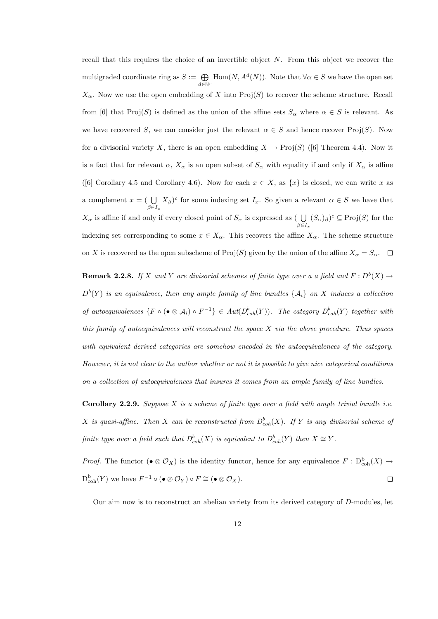recall that this requires the choice of an invertible object  $N$ . From this object we recover the multigraded coordinate ring as  $S := \bigoplus$  $\bigoplus_{d \in \mathbb{N}^r} \text{Hom}(N, A^d(N)).$  Note that  $\forall \alpha \in S$  we have the open set  $X_{\alpha}$ . Now we use the open embedding of X into Proj(S) to recover the scheme structure. Recall from [6] that Proj(S) is defined as the union of the affine sets  $S_\alpha$  where  $\alpha \in S$  is relevant. As we have recovered S, we can consider just the relevant  $\alpha \in S$  and hence recover Proj(S). Now for a divisorial variety X, there is an open embedding  $X \to \text{Proj}(S)$  ([6] Theorem 4.4). Now it is a fact that for relevant  $\alpha$ ,  $X_{\alpha}$  is an open subset of  $S_{\alpha}$  with equality if and only if  $X_{\alpha}$  is affine ([6] Corollary 4.5 and Corollary 4.6). Now for each  $x \in X$ , as  $\{x\}$  is closed, we can write x as a complement  $x = ( \bigcup$  $\beta \in I_x$  $(X_\beta)^c$  for some indexing set  $I_x$ . So given a relevant  $\alpha \in S$  we have that  $X_{\alpha}$  is affine if and only if every closed point of  $S_{\alpha}$  is expressed as (  $\bigcup$  $\beta \in I_x$  $(S_{\alpha})_{\beta})^c \subseteq \mathrm{Proj}(S)$  for the indexing set corresponding to some  $x \in X_\alpha$ . This recovers the affine  $X_\alpha$ . The scheme structure on X is recovered as the open subscheme of Proj(S) given by the union of the affine  $X_{\alpha} = S_{\alpha}$ .

**Remark 2.2.8.** If X and Y are divisorial schemes of finite type over a a field and  $F: D^b(X) \to$  $D^{b}(Y)$  is an equivalence, then any ample family of line bundles  $\{\mathcal{A}_{i}\}$  on X induces a collection of autoequivalences  $\{F \circ (\bullet \otimes A_i) \circ F^{-1}\} \in Aut(D^b_{coh}(Y))$ . The category  $D^b_{coh}(Y)$  together with this family of autoequivalences will reconstruct the space  $X$  via the above procedure. Thus spaces with equivalent derived categories are somehow encoded in the autoequivalences of the category. However, it is not clear to the author whether or not it is possible to give nice categorical conditions on a collection of autoequivalences that insures it comes from an ample family of line bundles.

**Corollary 2.2.9.** Suppose X is a scheme of finite type over a field with ample trivial bundle *i.e.* X is quasi-affine. Then X can be reconstructed from  $D^b_{coh}(X)$ . If Y is any divisorial scheme of finite type over a field such that  $D^b_{coh}(X)$  is equivalent to  $D^b_{coh}(Y)$  then  $X \cong Y$ .

*Proof.* The functor  $(\bullet \otimes \mathcal{O}_X)$  is the identity functor, hence for any equivalence  $F : D^{\text{b}}_{\text{coh}}(X) \to$  $D_{\mathrm{coh}}^{\mathrm{b}}(Y)$  we have  $F^{-1} \circ (\bullet \otimes \mathcal{O}_Y) \circ F \cong (\bullet \otimes \mathcal{O}_X)$ .  $\Box$ 

Our aim now is to reconstruct an abelian variety from its derived category of D-modules, let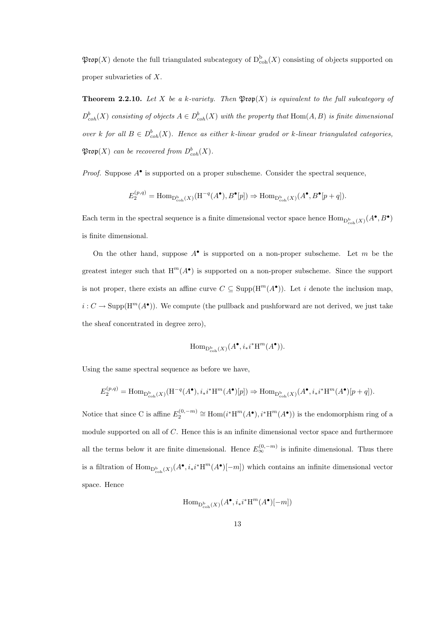$\mathfrak{Prop}(X)$  denote the full triangulated subcategory of  $D^{\mathrm{b}}_{\mathrm{coh}}(X)$  consisting of objects supported on proper subvarieties of X.

**Theorem 2.2.10.** Let X be a k-variety. Then  $\mathfrak{Prop}(X)$  is equivalent to the full subcategory of  $D^b_{coh}(X)$  consisting of objects  $A \in D^b_{coh}(X)$  with the property that  $\text{Hom}(A, B)$  is finite dimensional over k for all  $B \in D^b_{coh}(X)$ . Hence as either k-linear graded or k-linear triangulated categories,  $\mathfrak{Prop}(X)$  can be recovered from  $D^b_{coh}(X)$ .

*Proof.* Suppose  $A^{\bullet}$  is supported on a proper subscheme. Consider the spectral sequence,

$$
E_2^{(p,q)} = \text{Hom}_{\mathcal{D}^{\text{b}}_{\text{coh}}(X)}(\text{H}^{-q}(A^{\bullet}), B^{\bullet}[p]) \Rightarrow \text{Hom}_{\mathcal{D}^{\text{b}}_{\text{coh}}(X)}(A^{\bullet}, B^{\bullet}[p+q]).
$$

Each term in the spectral sequence is a finite dimensional vector space hence  $\text{Hom}_{D^b_{coh}(X)}(A^{\bullet}, B^{\bullet})$ is finite dimensional.

On the other hand, suppose  $A^{\bullet}$  is supported on a non-proper subscheme. Let m be the greatest integer such that  $H^m(A^{\bullet})$  is supported on a non-proper subscheme. Since the support is not proper, there exists an affine curve  $C \subseteq \text{Supp}(\text{H}^m(A^{\bullet}))$ . Let i denote the inclusion map,  $i: C \to \text{Supp}(H^m(A^{\bullet}))$ . We compute (the pullback and pushforward are not derived, we just take the sheaf concentrated in degree zero),

$$
\mathrm{Hom}_{\mathbf{D}^{\mathrm{b}}_{\mathrm{coh}}(X)}(A^\bullet, i_*i^*\mathrm{H}^m(A^\bullet)).
$$

Using the same spectral sequence as before we have,

$$
E_2^{(p,q)} = \text{Hom}_{\mathcal{D}^{\mathbf{b}}_{\text{coh}}(X)}(\mathcal{H}^{-q}(A^{\bullet}), i_*i^*\mathcal{H}^m(A^{\bullet})[p]) \Rightarrow \text{Hom}_{\mathcal{D}^{\mathbf{b}}_{\text{coh}}(X)}(A^{\bullet}, i_*i^*\mathcal{H}^m(A^{\bullet})[p+q]).
$$

Notice that since C is affine  $E_2^{(0,-m)} \cong \text{Hom}(i^*H^m(A^{\bullet}), i^*H^m(A^{\bullet}))$  is the endomorphism ring of a module supported on all of C. Hence this is an infinite dimensional vector space and furthermore all the terms below it are finite dimensional. Hence  $E_{\infty}^{(0,-m)}$  is infinite dimensional. Thus there is a filtration of  $\text{Hom}_{\text{D}_{\text{coh}}^{\text{b}}(X)}(A^{\bullet}, i_{*}i^{*}\text{H}^{m}(A^{\bullet})[-m])$  which contains an infinite dimensional vector space. Hence

$$
\operatorname{Hom}_{\mathbf{D}_{\text{coh}}^{\mathbf{b}}(X)}(A^\bullet, i_*i^*\mathbf{H}^m(A^\bullet)[-m])
$$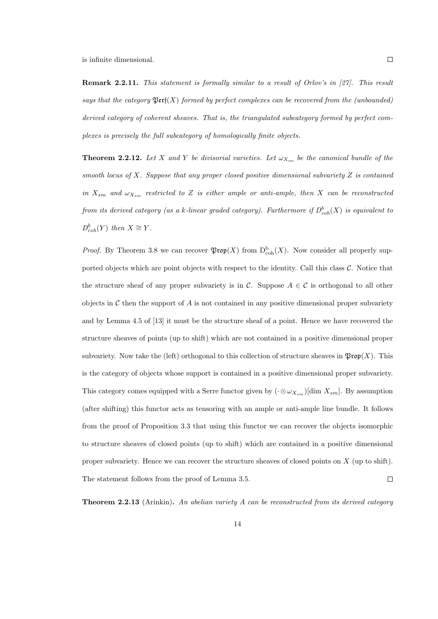Remark 2.2.11. This statement is formally similar to a result of Orlov's in [27]. This result says that the category  $\mathfrak{Perf}(X)$  formed by perfect complexes can be recovered from the (unbounded) derived category of coherent sheaves. That is, the triangulated subcategory formed by perfect complexes is precisely the full subcategory of homologically finite objects.

**Theorem 2.2.12.** Let X and Y be divisorial varieties. Let  $\omega_{X_{sm}}$  be the canonical bundle of the smooth locus of X. Suppose that any proper closed positive dimensional subvariety Z is contained in  $X_{sm}$  and  $\omega_{X_{sm}}$  restricted to Z is either ample or anti-ample, then X can be reconstructed from its derived category (as a k-linear graded category). Furthermore if  $D^b_{coh}(X)$  is equivalent to  $D_{coh}^b(Y)$  then  $X \cong Y$ .

*Proof.* By Theorem 3.8 we can recover  $\mathfrak{Prop}(X)$  from  $D^b_{coh}(X)$ . Now consider all properly supported objects which are point objects with respect to the identity. Call this class  $C$ . Notice that the structure sheaf of any proper subvariety is in C. Suppose  $A \in \mathcal{C}$  is orthogonal to all other objects in  $\mathcal C$  then the support of A is not contained in any positive dimensional proper subvariety and by Lemma 4.5 of [13] it must be the structure sheaf of a point. Hence we have recovered the structure sheaves of points (up to shift) which are not contained in a positive dimensional proper subvariety. Now take the (left) orthogonal to this collection of structure sheaves in  $\mathfrak{Prop}(X)$ . This is the category of objects whose support is contained in a positive dimensional proper subvariety. This category comes equipped with a Serre functor given by  $(\cdot \otimes \omega_{X_{sm}})$ [dim  $X_{sm}$ ]. By assumption (after shifting) this functor acts as tensoring with an ample or anti-ample line bundle. It follows from the proof of Proposition 3.3 that using this functor we can recover the objects isomorphic to structure sheaves of closed points (up to shift) which are contained in a positive dimensional proper subvariety. Hence we can recover the structure sheaves of closed points on X (up to shift). The statement follows from the proof of Lemma 3.5.  $\Box$ 

Theorem 2.2.13 (Arinkin). An abelian variety A can be reconstructed from its derived category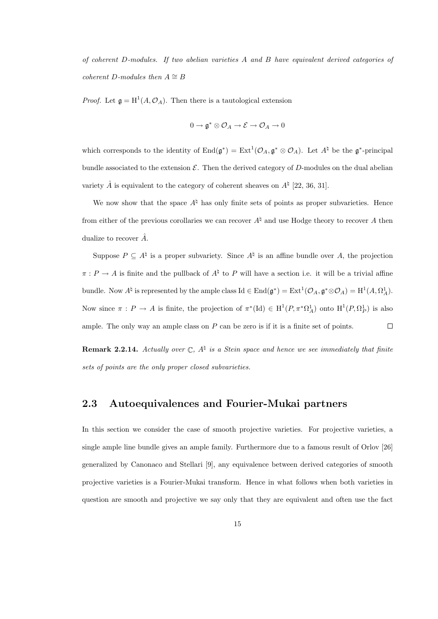of coherent D-modules. If two abelian varieties A and B have equivalent derived categories of coherent D-modules then  $A \cong B$ 

*Proof.* Let  $\mathfrak{g} = H^1(A, \mathcal{O}_A)$ . Then there is a tautological extension

$$
0\to \mathfrak{g}^*\otimes \mathcal{O}_A\to \mathcal{E}\to \mathcal{O}_A\to 0
$$

which corresponds to the identity of  $\text{End}(\mathfrak{g}^*) = \text{Ext}^1(\mathcal{O}_A, \mathfrak{g}^* \otimes \mathcal{O}_A)$ . Let  $A^\natural$  be the  $\mathfrak{g}^*$ -principal bundle associated to the extension  $\mathcal{E}$ . Then the derived category of D-modules on the dual abelian variety  $\hat{A}$  is equivalent to the category of coherent sheaves on  $A^{\natural}$  [22, 36, 31].

We now show that the space  $A^\natural$  has only finite sets of points as proper subvarieties. Hence from either of the previous corollaries we can recover  $A^\dagger$  and use Hodge theory to recover A then dualize to recover  $\hat{A}$ .

Suppose  $P \subseteq A^{\dagger}$  is a proper subvariety. Since  $A^{\dagger}$  is an affine bundle over A, the projection  $\pi: P \to A$  is finite and the pullback of  $A^{\natural}$  to P will have a section i.e. it will be a trivial affine bundle. Now  $A^{\natural}$  is represented by the ample class  $\mathrm{Id} \in \mathrm{End}(\mathfrak{g}^*) = \mathrm{Ext}^1(\mathcal{O}_A, \mathfrak{g}^* \otimes \mathcal{O}_A) = \mathrm{H}^1(A, \Omega_A^1)$ . Now since  $\pi : P \to A$  is finite, the projection of  $\pi^* (\text{Id}) \in H^1(P, \pi^* \Omega_A^1)$  onto  $H^1(P, \Omega_P^1)$  is also ample. The only way an ample class on  $P$  can be zero is if it is a finite set of points.  $\Box$ 

**Remark 2.2.14.** Actually over  $\mathbb{C}$ ,  $A^{\natural}$  is a Stein space and hence we see immediately that finite sets of points are the only proper closed subvarieties.

### 2.3 Autoequivalences and Fourier-Mukai partners

In this section we consider the case of smooth projective varieties. For projective varieties, a single ample line bundle gives an ample family. Furthermore due to a famous result of Orlov [26] generalized by Canonaco and Stellari [9], any equivalence between derived categories of smooth projective varieties is a Fourier-Mukai transform. Hence in what follows when both varieties in question are smooth and projective we say only that they are equivalent and often use the fact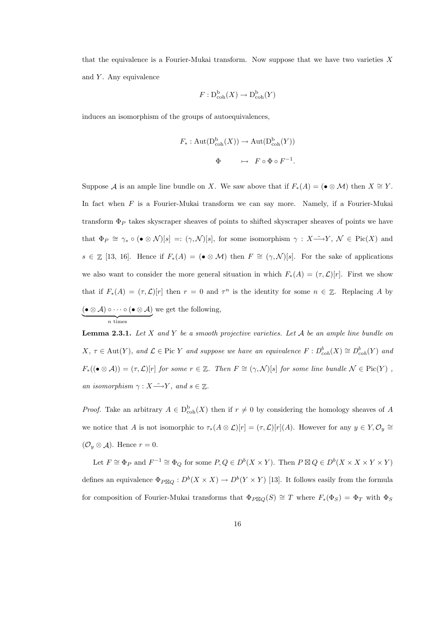that the equivalence is a Fourier-Mukai transform. Now suppose that we have two varieties  $X$ and  $Y$ . Any equivalence

$$
F: \mathbf{D}_{\mathrm{coh}}^{\mathrm{b}}(X) \to \mathbf{D}_{\mathrm{coh}}^{\mathrm{b}}(Y)
$$

induces an isomorphism of the groups of autoequivalences,

$$
F_*: \operatorname{Aut}(\mathbf{D}_{\operatorname{coh}}^{\mathbf{b}}(X)) \to \operatorname{Aut}(\mathbf{D}_{\operatorname{coh}}^{\mathbf{b}}(Y))
$$

$$
\Phi \qquad \mapsto \qquad F \circ \Phi \circ F^{-1}.
$$

Suppose A is an ample line bundle on X. We saw above that if  $F_*(A) = (\bullet \otimes \mathcal{M})$  then  $X \cong Y$ . In fact when F is a Fourier-Mukai transform we can say more. Namely, if a Fourier-Mukai transform  $\Phi_P$  takes skyscraper sheaves of points to shifted skyscraper sheaves of points we have that  $\Phi_P \cong \gamma_* \circ (\bullet \otimes \mathcal{N})[s] =: (\gamma, \mathcal{N})[s]$ , for some isomorphism  $\gamma : X \longrightarrow Y$ ,  $\mathcal{N} \in Pic(X)$  and  $s \in \mathbb{Z}$  [13, 16]. Hence if  $F_*(A) = (\bullet \otimes \mathcal{M})$  then  $F \cong (\gamma, \mathcal{N})[s]$ . For the sake of applications we also want to consider the more general situation in which  $F_*(A) = (\tau, \mathcal{L})[r]$ . First we show that if  $F_*(A) = (\tau, \mathcal{L})[r]$  then  $r = 0$  and  $\tau^n$  is the identity for some  $n \in \mathbb{Z}$ . Replacing A by  $(\bullet\otimes\mathcal{A})\circ\cdots\circ(\bullet\otimes\mathcal{A})$  $\overbrace{n \text{ times}}$ we get the following,

**Lemma 2.3.1.** Let X and Y be a smooth projective varieties. Let A be an ample line bundle on  $X, \tau \in \text{Aut}(Y)$ , and  $\mathcal{L} \in \text{Pic } Y$  and suppose we have an equivalence  $F: D^b_{coh}(X) \cong D^b_{coh}(Y)$  and  $F_*(\left(\bullet\otimes A\right))=(\tau,\mathcal{L})[r]$  for some  $r\in\mathbb{Z}$ . Then  $F\cong(\gamma,\mathcal{N})[s]$  for some line bundle  $\mathcal{N}\in\mathrm{Pic}(Y)$ , an isomorphism  $\gamma : X \longrightarrow Y$ , and  $s \in \mathbb{Z}$ .

*Proof.* Take an arbitrary  $A \in D^b_{coh}(X)$  then if  $r \neq 0$  by considering the homology sheaves of A we notice that A is not isomorphic to  $\tau_*(A \otimes \mathcal{L})[r] = (\tau, \mathcal{L})[r](A)$ . However for any  $y \in Y$ ,  $\mathcal{O}_y \cong Y$  $(\mathcal{O}_y \otimes \mathcal{A})$ . Hence  $r = 0$ .

Let  $F \cong \Phi_P$  and  $F^{-1} \cong \Phi_Q$  for some  $P, Q \in D^b(X \times Y)$ . Then  $P \boxtimes Q \in D^b(X \times X \times Y \times Y)$ defines an equivalence  $\Phi_{P} \boxtimes_Q : D^b(X \times X) \to D^b(Y \times Y)$  [13]. It follows easily from the formula for composition of Fourier-Mukai transforms that  $\Phi_{P\boxtimes Q}(S) \cong T$  where  $F_*(\Phi_S) = \Phi_T$  with  $\Phi_S$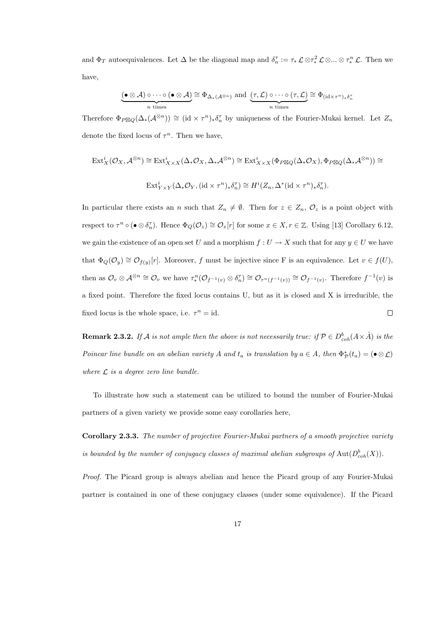and  $\Phi_T$  autoequivalences. Let  $\Delta$  be the diagonal map and  $\delta_n^{\tau} := \tau_* \mathcal{L} \otimes \tau_*^2 \mathcal{L} \otimes ... \otimes \tau_*^n \mathcal{L}$ . Then we have,

$$
\underbrace{(\bullet \otimes A) \circ \cdots \circ (\bullet \otimes A)}_{n \text{ times}} \cong \Phi_{\Delta_*(A^{\otimes n})} \text{ and } \underbrace{(\tau, \mathcal{L}) \circ \cdots \circ (\tau, \mathcal{L})}_{n \text{ times}} \cong \Phi_{(\text{id} \times \tau^n)_* \delta_n^{\tau}}
$$

Therefore  $\Phi_{P\boxtimes Q}(\Delta_*(\mathcal{A}^{\otimes n})) \cong (\mathrm{id} \times \tau^n)_*\delta_n^{\tau}$  by uniqueness of the Fourier-Mukai kernel. Let  $Z_n$ denote the fixed locus of  $\tau^n$ . Then we have,

$$
\begin{split} \operatorname{Ext}^i_X(\mathcal{O}_X,\mathcal{A}^{\otimes n}) &\cong \operatorname{Ext}^i_{X\times X}(\Delta_*\mathcal{O}_X,\Delta_*\mathcal{A}^{\otimes n}) \cong \operatorname{Ext}^i_{X\times X}(\Phi_{P\boxtimes Q}(\Delta_*\mathcal{O}_X),\Phi_{P\boxtimes Q}(\Delta_*\mathcal{A}^{\otimes n})) \cong \\ &\operatorname{Ext}^i_{Y\times Y}(\Delta_*\mathcal{O}_Y,(\operatorname{id}\times\tau^n)_*\delta_n^\tau) \cong H^i(Z_n,\Delta^*(\operatorname{id}\times\tau^n)_*\delta_n^\tau). \end{split}
$$

In particular there exists an n such that  $Z_n \neq \emptyset$ . Then for  $z \in Z_n$ ,  $\mathcal{O}_z$  is a point object with respect to  $\tau^n \circ (\bullet \otimes \delta_n^{\tau})$ . Hence  $\Phi_Q(\mathcal{O}_z) \cong \mathcal{O}_x[r]$  for some  $x \in X, r \in \mathbb{Z}$ . Using [13] Corollary 6.12, we gain the existence of an open set U and a morphism  $f: U \to X$  such that for any  $y \in U$  we have that  $\Phi_Q(\mathcal{O}_y) \cong \mathcal{O}_{f(y)}[r]$ . Moreover, f must be injective since F is an equivalence. Let  $v \in f(U)$ , then as  $\mathcal{O}_v \otimes \mathcal{A}^{\otimes n} \cong \mathcal{O}_v$  we have  $\tau_*^n(\mathcal{O}_{f^{-1}(v)} \otimes \delta_n^{\tau}) \cong \mathcal{O}_{\tau^n(f^{-1}(v))} \cong \mathcal{O}_{f^{-1}(v)}$ . Therefore  $f^{-1}(v)$  is a fixed point. Therefore the fixed locus contains U, but as it is closed and X is irreducible, the fixed locus is the whole space, i.e.  $\tau^n = id$ .  $\Box$ 

**Remark 2.3.2.** If A is not ample then the above is not necessarily true: if  $P \in D^b_{coh}(A \times \hat{A})$  is the Poincar line bundle on an abelian variety A and  $t_a$  is translation by  $a \in A$ , then  $\Phi^*_{\mathcal{P}}(t_a) = (\bullet \otimes \mathcal{L})$ where  $\mathcal L$  is a degree zero line bundle.

To illustrate how such a statement can be utilized to bound the number of Fourier-Mukai partners of a given variety we provide some easy corollaries here,

Corollary 2.3.3. The number of projective Fourier-Mukai partners of a smooth projective variety is bounded by the number of conjugacy classes of maximal abelian subgroups of  $\text{Aut}(D^b_{coh}(X)).$ 

Proof. The Picard group is always abelian and hence the Picard group of any Fourier-Mukai partner is contained in one of these conjugacy classes (under some equivalence). If the Picard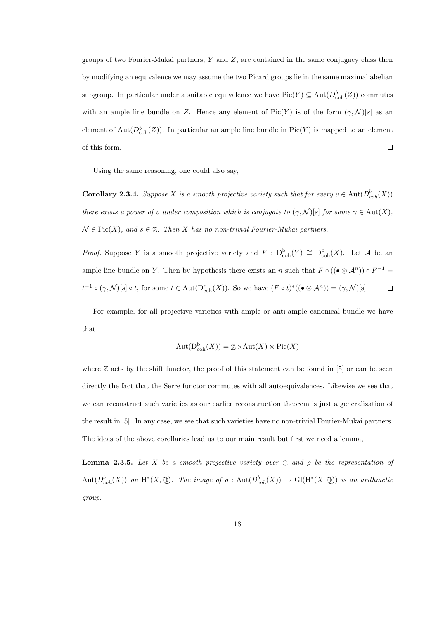groups of two Fourier-Mukai partners,  $Y$  and  $Z$ , are contained in the same conjugacy class then by modifying an equivalence we may assume the two Picard groups lie in the same maximal abelian subgroup. In particular under a suitable equivalence we have  $Pic(Y) \subseteq Aut(D_{coh}^b(Z))$  commutes with an ample line bundle on Z. Hence any element of Pic(Y) is of the form  $(\gamma, \mathcal{N})[s]$  as an element of  $\text{Aut}(D^b_{\text{coh}}(Z))$ . In particular an ample line bundle in  $\text{Pic}(Y)$  is mapped to an element of this form.  $\Box$ 

Using the same reasoning, one could also say,

**Corollary 2.3.4.** Suppose X is a smooth projective variety such that for every  $v \in \text{Aut}(D^b_{coh}(X))$ there exists a power of v under composition which is conjugate to  $(\gamma, \mathcal{N})[s]$  for some  $\gamma \in \text{Aut}(X)$ ,  $\mathcal{N} \in \text{Pic}(X)$ , and  $s \in \mathbb{Z}$ . Then X has no non-trivial Fourier-Mukai partners.

*Proof.* Suppose Y is a smooth projective variety and  $F : D^b_{coh}(Y) \cong D^b_{coh}(X)$ . Let A be an ample line bundle on Y. Then by hypothesis there exists an n such that  $F \circ ((\bullet \otimes A^n)) \circ F^{-1} =$  $t^{-1} \circ (\gamma, \mathcal{N})[s] \circ t$ , for some  $t \in \text{Aut}(\mathcal{D}_{\text{coh}}^{\text{b}}(X))$ . So we have  $(F \circ t)^{*}((\bullet \otimes \mathcal{A}^{n})) = (\gamma, \mathcal{N})[s]$ .  $\Box$ 

For example, for all projective varieties with ample or anti-ample canonical bundle we have that

$$
Aut(D_{coh}^{\mathbf{b}}(X)) = \mathbb{Z} \times Aut(X) \ltimes Pic(X)
$$

where  $\mathbb Z$  acts by the shift functor, the proof of this statement can be found in [5] or can be seen directly the fact that the Serre functor commutes with all autoequivalences. Likewise we see that we can reconstruct such varieties as our earlier reconstruction theorem is just a generalization of the result in [5]. In any case, we see that such varieties have no non-trivial Fourier-Mukai partners. The ideas of the above corollaries lead us to our main result but first we need a lemma,

**Lemma 2.3.5.** Let X be a smooth projective variety over  $\mathbb C$  and  $\rho$  be the representation of  $Aut(D^b_{coh}(X))$  on  $H^*(X,\mathbb{Q})$ . The image of  $\rho: Aut(D^b_{coh}(X)) \to Gl(H^*(X,\mathbb{Q}))$  is an arithmetic group.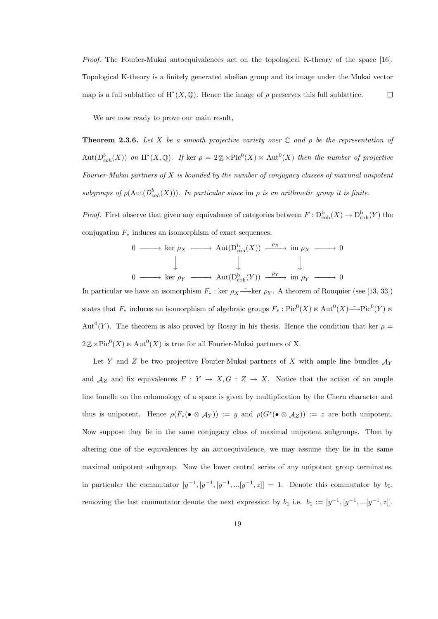Proof. The Fourier-Mukai autoequivalences act on the topological K-theory of the space [16]. Topological K-theory is a finitely generated abelian group and its image under the Mukai vector map is a full sublattice of  $H^*(X, \mathbb{Q})$ . Hence the image of  $\rho$  preserves this full sublattice.  $\Box$ 

We are now ready to prove our main result,

**Theorem 2.3.6.** Let X be a smooth projective variety over  $\mathbb C$  and  $\rho$  be the representation of  $Aut(D^b_{coh}(X))$  on  $H^*(X,\mathbb{Q})$ . If ker  $\rho = 2\mathbb{Z} \times Pic^0(X) \ltimes Aut^0(X)$  then the number of projective Fourier-Mukai partners of  $X$  is bounded by the number of conjugacy classes of maximal unipotent subgroups of  $\rho(\text{Aut}(D^b_{coh}(X)))$ . In particular since im  $\rho$  is an arithmetic group it is finite.

*Proof.* First observe that given any equivalence of categories between  $F : D^b_{coh}(X) \to D^b_{coh}(Y)$  the conjugation  $F_*$  induces an isomorphism of exact sequences.

$$
0 \longrightarrow \ker \rho_X \longrightarrow \operatorname{Aut}(\mathcal{D}_{\operatorname{coh}}^{\operatorname{b}}(X)) \xrightarrow{\rho_X} \operatorname{im} \rho_X \longrightarrow 0
$$
  

$$
\downarrow \qquad \qquad \downarrow \qquad \qquad \downarrow
$$
  

$$
0 \longrightarrow \ker \rho_Y \longrightarrow \operatorname{Aut}(\mathcal{D}_{\operatorname{coh}}^{\operatorname{b}}(Y)) \xrightarrow{\rho_Y} \operatorname{im} \rho_Y \longrightarrow 0
$$

In particular we have an isomorphism  $F_*$ : ker  $\rho_X \to \text{ker } \rho_Y$ . A theorem of Rouquier (see [13, 33]) states that  $F_*$  induces an isomorphism of algebraic groups  $F_* : Pic^0(X) \ltimes Aut^0(X) \longrightarrow Pic^0(Y) \ltimes$ Aut<sup>0</sup>(Y). The theorem is also proved by Rosay in his thesis. Hence the condition that ker  $\rho =$  $2 \mathbb{Z} \times Pic^0(X) \ltimes Aut^0(X)$  is true for all Fourier-Mukai partners of X.

Let Y and Z be two projective Fourier-Mukai partners of X with ample line bundles  $\mathcal{A}_Y$ and  $A_Z$  and fix equivalences  $F: Y \to X, G: Z \to X$ . Notice that the action of an ample line bundle on the cohomology of a space is given by multiplication by the Chern character and thus is unipotent. Hence  $\rho(F_*(\bullet \otimes \mathcal{A}_Y)) := y$  and  $\rho(G^*(\bullet \otimes \mathcal{A}_Z)) := z$  are both unipotent. Now suppose they lie in the same conjugacy class of maximal unipotent subgroups. Then by altering one of the equivalences by an autoequivalence, we may assume they lie in the same maximal unipotent subgroup. Now the lower central series of any unipotent group terminates, in particular the commutator  $[y^{-1}, [y^{-1}, [y^{-1}, ... [y^{-1}, z]] = 1]$ . Denote this commutator by  $b_0$ , removing the last commutator denote the next expression by  $b_1$  i.e.  $b_1 := [y^{-1}, [y^{-1}, ... [y^{-1}, z]].$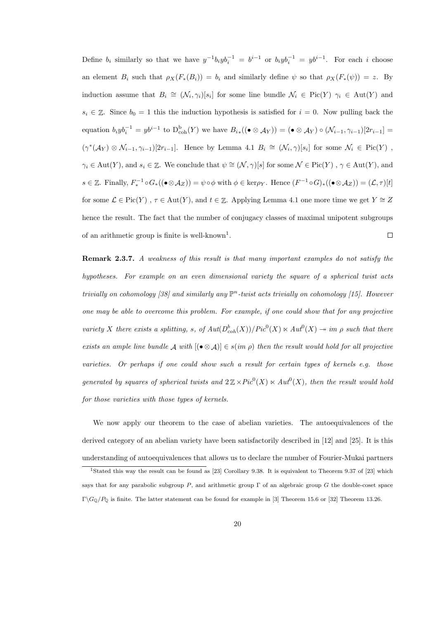Define  $b_i$  similarly so that we have  $y^{-1}b_iyb_i^{-1} = b^{i-1}$  or  $b_iyb_i^{-1} = yb^{i-1}$ . For each i choose an element  $B_i$  such that  $\rho_X(F_*(B_i)) = b_i$  and similarly define  $\psi$  so that  $\rho_X(F_*(\psi)) = z$ . By induction assume that  $B_i \cong (\mathcal{N}_i, \gamma_i)[s_i]$  for some line bundle  $\mathcal{N}_i \in Pic(Y)$   $\gamma_i \in Aut(Y)$  and  $s_i \in \mathbb{Z}$ . Since  $b_0 = 1$  this the induction hypothesis is satisfied for  $i = 0$ . Now pulling back the equation  $b_i y b_i^{-1} = y b^{i-1}$  to  $D_{\text{coh}}^{\text{b}}(Y)$  we have  $B_{i\ast}((\bullet \otimes A_Y)) = (\bullet \otimes A_Y) \circ (\mathcal{N}_{i-1}, \gamma_{i-1})[2r_{i-1}] =$  $(\gamma^*(\mathcal{A}_Y) \otimes \mathcal{N}_{i-1}, \gamma_{i-1})[2r_{i-1}]$ . Hence by Lemma 4.1  $B_i \cong (\mathcal{N}_i, \gamma)[s_i]$  for some  $\mathcal{N}_i \in Pic(Y)$ ,  $\gamma_i \in \text{Aut}(Y)$ , and  $s_i \in \mathbb{Z}$ . We conclude that  $\psi \cong (\mathcal{N}, \gamma)[s]$  for some  $\mathcal{N} \in \text{Pic}(Y)$ ,  $\gamma \in \text{Aut}(Y)$ , and  $s \in \mathbb{Z}$ . Finally,  $F_*^{-1} \circ G_*((\bullet \otimes \mathcal{A}_Z)) = \psi \circ \phi$  with  $\phi \in \text{ker}\rho_Y$ . Hence  $(F^{-1} \circ G)_*((\bullet \otimes \mathcal{A}_Z)) = (\mathcal{L}, \tau)[t]$ for some  $\mathcal{L} \in \text{Pic}(Y)$ ,  $\tau \in \text{Aut}(Y)$ , and  $t \in \mathbb{Z}$ . Applying Lemma 4.1 one more time we get  $Y \cong Z$ hence the result. The fact that the number of conjugacy classes of maximal unipotent subgroups of an arithmetic group is finite is well-known<sup>1</sup>.  $\Box$ 

Remark 2.3.7. A weakness of this result is that many important examples do not satisfy the hypotheses. For example on an even dimensional variety the square of a spherical twist acts trivially on cohomology [38] and similarly any  $\mathbb{P}^n$ -twist acts trivially on cohomology [15]. However one may be able to overcome this problem. For example, if one could show that for any projective variety X there exists a splitting, s, of  $Aut(D^b_{coh}(X))/Pic^0(X) \ltimes Aut^0(X) \rightarrow im \rho$  such that there exists an ample line bundle  $\mathcal A$  with  $[(\bullet \otimes \mathcal A)] \in s(im \rho)$  then the result would hold for all projective varieties. Or perhaps if one could show such a result for certain types of kernels e.g. those generated by squares of spherical twists and  $2\mathbb{Z}\times Pic^0(X)\ltimes Aut^0(X)$ , then the result would hold for those varieties with those types of kernels.

We now apply our theorem to the case of abelian varieties. The autoequivalences of the derived category of an abelian variety have been satisfactorily described in [12] and [25]. It is this understanding of autoequivalences that allows us to declare the number of Fourier-Mukai partners

<sup>&</sup>lt;sup>1</sup>Stated this way the result can be found as [23] Corollary 9.38. It is equivalent to Theorem 9.37 of [23] which says that for any parabolic subgroup P, and arithmetic group  $\Gamma$  of an algebraic group G the double-coset space Γ $\Gamma$ <sub>O</sub>/P<sub>0</sub> is finite. The latter statement can be found for example in [3] Theorem 15.6 or [32] Theorem 13.26.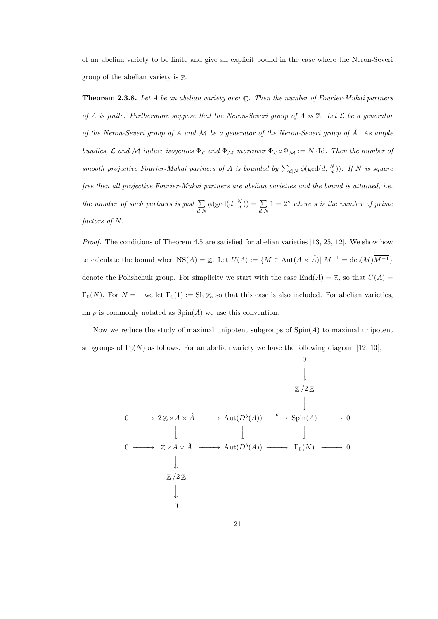of an abelian variety to be finite and give an explicit bound in the case where the Neron-Severi group of the abelian variety is Z.

**Theorem 2.3.8.** Let A be an abelian variety over  $\mathbb{C}$ . Then the number of Fourier-Mukai partners of A is finite. Furthermore suppose that the Neron-Severi group of A is  $\mathbb Z$ . Let  $\mathcal L$  be a generator of the Neron-Severi group of A and M be a generator of the Neron-Severi group of  $\hat{A}$ . As ample bundles,  $\mathcal L$  and  $\mathcal M$  induce isogenies  $\Phi_{\mathcal L}$  and  $\Phi_{\mathcal M}$  moreover  $\Phi_{\mathcal L} \circ \Phi_{\mathcal M} := N \cdot \text{Id}$ . Then the number of smooth projective Fourier-Mukai partners of A is bounded by  $\sum_{d|N} \phi(\gcd(d, \frac{N}{d}))$ . If N is square free then all projective Fourier-Mukai partners are abelian varieties and the bound is attained, i.e. the number of such partners is just  $\Sigma$  $d|N$  $\phi(\gcd(d, \frac{N}{d})) = \sum$  $d|N$  $1 = 2<sup>s</sup>$  where s is the number of prime factors of N.

Proof. The conditions of Theorem 4.5 are satisfied for abelian varieties [13, 25, 12]. We show how to calculate the bound when  $NS(A) = \mathbb{Z}$ . Let  $U(A) := \{ M \in Aut(A \times \hat{A}) \mid M^{-1} = \det(M) \overline{M^{-1}} \}$ denote the Polishchuk group. For simplicity we start with the case  $\text{End}(A) = \mathbb{Z}$ , so that  $U(A) =$  $\Gamma_0(N)$ . For  $N = 1$  we let  $\Gamma_0(1) := \text{Sl}_2 \mathbb{Z}$ , so that this case is also included. For abelian varieties, im  $\rho$  is commonly notated as  $Spin(A)$  we use this convention.

Now we reduce the study of maximal unipotent subgroups of  $Spin(A)$  to maximal unipotent subgroups of  $\Gamma_0(N)$  as follows. For an abelian variety we have the following diagram [12, 13],

$$
0 \longrightarrow 2\mathbb{Z} \times A \times \hat{A} \longrightarrow \text{Aut}(D^{b}(A)) \xrightarrow{\rho} \text{Spin}(A) \longrightarrow 0
$$
  

$$
0 \longrightarrow 2\mathbb{Z} \times A \times \hat{A} \longrightarrow \text{Aut}(D^{b}(A)) \longrightarrow \text{Spin}(A) \longrightarrow 0
$$
  

$$
\downarrow \qquad \qquad \downarrow
$$
  

$$
\mathbb{Z}/2\mathbb{Z}
$$
  

$$
\downarrow
$$
  

$$
0
$$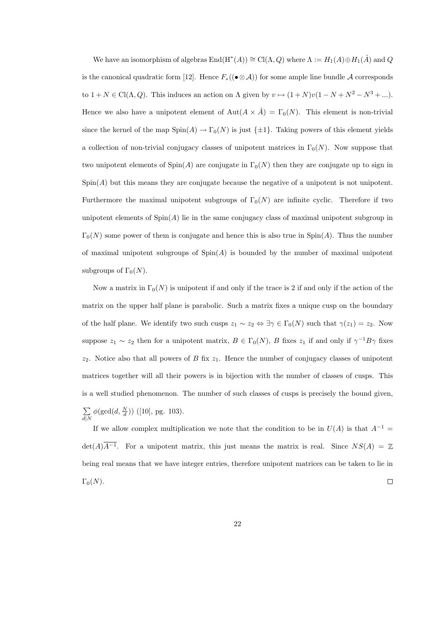We have an isomorphism of algebras  $\text{End}(\text{H}^*(A)) \cong \text{Cl}(\Lambda, Q)$  where  $\Lambda := H_1(A) \oplus H_1(\hat{A})$  and  $Q$ is the canonical quadratic form [12]. Hence  $F_*(\bullet \otimes A)$  for some ample line bundle A corresponds to  $1 + N \in \text{Cl}(\Lambda, Q)$ . This induces an action on  $\Lambda$  given by  $v \mapsto (1 + N)v(1 - N + N^2 - N^3 + ...)$ . Hence we also have a unipotent element of  $\text{Aut}(A \times \hat{A}) = \Gamma_0(N)$ . This element is non-trivial since the kernel of the map  $Spin(A) \to \Gamma_0(N)$  is just  $\{\pm 1\}$ . Taking powers of this element yields a collection of non-trivial conjugacy classes of unipotent matrices in  $\Gamma_0(N)$ . Now suppose that two unipotent elements of  $Spin(A)$  are conjugate in  $\Gamma_0(N)$  then they are conjugate up to sign in  $Spin(A)$  but this means they are conjugate because the negative of a unipotent is not unipotent. Furthermore the maximal unipotent subgroups of  $\Gamma_0(N)$  are infinite cyclic. Therefore if two unipotent elements of  $\text{Spin}(A)$  lie in the same conjugacy class of maximal unipotent subgroup in  $\Gamma_0(N)$  some power of them is conjugate and hence this is also true in  $\text{Spin}(A)$ . Thus the number of maximal unipotent subgroups of  $Spin(A)$  is bounded by the number of maximal unipotent subgroups of  $\Gamma_0(N)$ .

Now a matrix in  $\Gamma_0(N)$  is unipotent if and only if the trace is 2 if and only if the action of the matrix on the upper half plane is parabolic. Such a matrix fixes a unique cusp on the boundary of the half plane. We identify two such cusps  $z_1 \sim z_2 \Leftrightarrow \exists \gamma \in \Gamma_0(N)$  such that  $\gamma(z_1) = z_2$ . Now suppose  $z_1 \sim z_2$  then for a unipotent matrix,  $B \in \Gamma_0(N)$ , B fixes  $z_1$  if and only if  $\gamma^{-1}B\gamma$  fixes  $z_2$ . Notice also that all powers of B fix  $z_1$ . Hence the number of conjugacy classes of unipotent matrices together will all their powers is in bijection with the number of classes of cusps. This is a well studied phenomenon. The number of such classes of cusps is precisely the bound given, P  $d|N$  $\phi(\text{gcd}(d, \frac{N}{d}))$  ([10], pg. 103).

If we allow complex multiplication we note that the condition to be in  $U(A)$  is that  $A^{-1} =$  $\det(A)\overline{A^{-1}}$ . For a unipotent matrix, this just means the matrix is real. Since  $NS(A) = \mathbb{Z}$ being real means that we have integer entries, therefore unipotent matrices can be taken to lie in  $\Box$  $\Gamma_0(N)$ .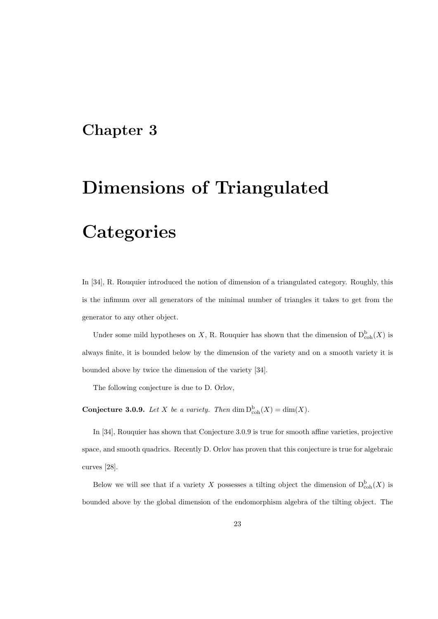### Chapter 3

# Dimensions of Triangulated

## **Categories**

In [34], R. Rouquier introduced the notion of dimension of a triangulated category. Roughly, this is the infimum over all generators of the minimal number of triangles it takes to get from the generator to any other object.

Under some mild hypotheses on X, R. Rouquier has shown that the dimension of  $D^{\mathrm{b}}_{\mathrm{coh}}(X)$  is always finite, it is bounded below by the dimension of the variety and on a smooth variety it is bounded above by twice the dimension of the variety [34].

The following conjecture is due to D. Orlov,

**Conjecture 3.0.9.** Let X be a variety. Then  $\dim \mathbf{D}_{\mathrm{coh}}^{\mathrm{b}}(X) = \dim(X)$ .

In [34], Rouquier has shown that Conjecture 3.0.9 is true for smooth affine varieties, projective space, and smooth quadrics. Recently D. Orlov has proven that this conjecture is true for algebraic curves [28].

Below we will see that if a variety X possesses a tilting object the dimension of  $D^b_{coh}(X)$  is bounded above by the global dimension of the endomorphism algebra of the tilting object. The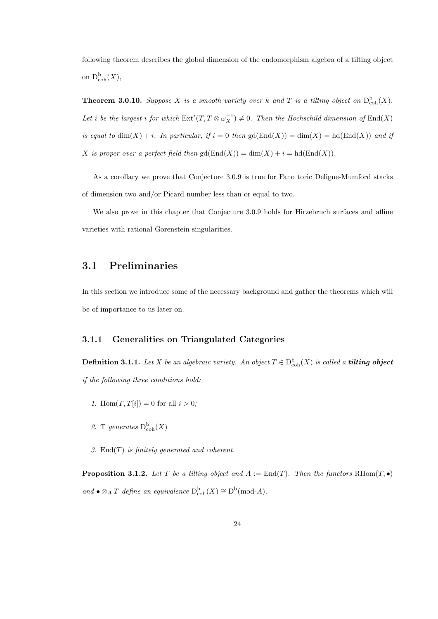following theorem describes the global dimension of the endomorphism algebra of a tilting object on  $D_{\mathrm{coh}}^{\mathrm{b}}(X),$ 

**Theorem 3.0.10.** Suppose X is a smooth variety over k and T is a tilting object on  $D_{\text{coh}}^{b}(X)$ . Let i be the largest i for which  $\mathrm{Ext}^i(T,T\otimes\omega_X^{-1})\neq 0$ . Then the Hochschild dimension of  $\mathrm{End}(X)$ is equal to  $\dim(X) + i$ . In particular, if  $i = 0$  then  $gd(\text{End}(X)) = \dim(X) = hd(\text{End}(X))$  and if X is proper over a perfect field then  $gd(End(X)) = dim(X) + i = hd(End(X)).$ 

As a corollary we prove that Conjecture 3.0.9 is true for Fano toric Deligne-Mumford stacks of dimension two and/or Picard number less than or equal to two.

We also prove in this chapter that Conjecture 3.0.9 holds for Hirzebruch surfaces and affine varieties with rational Gorenstein singularities.

### 3.1 Preliminaries

In this section we introduce some of the necessary background and gather the theorems which will be of importance to us later on.

### 3.1.1 Generalities on Triangulated Categories

**Definition 3.1.1.** Let X be an algebraic variety. An object  $T \in D^b_{coh}(X)$  is called a **tilting object** if the following three conditions hold:

- 1. Hom $(T, T[i]) = 0$  for all  $i > 0$ ;
- 2. T generates  $D^b_{coh}(X)$
- 3. End $(T)$  is finitely generated and coherent.

**Proposition 3.1.2.** Let T be a tilting object and  $A := \text{End}(T)$ . Then the functors RHom $(T, \bullet)$ and •  $\otimes_A T$  define an equivalence  $D^b_{coh}(X) \cong D^b(\text{mod-}A)$ .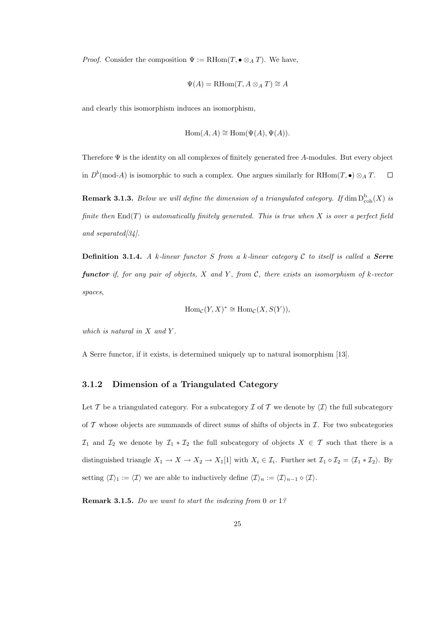*Proof.* Consider the composition  $\Psi := \text{RHom}(T, \bullet \otimes_A T)$ . We have,

$$
\Psi(A) = \text{RHom}(T, A \otimes_A T) \cong A
$$

and clearly this isomorphism induces an isomorphism,

$$
Hom(A, A) \cong Hom(\Psi(A), \Psi(A)).
$$

Therefore  $\Psi$  is the identity on all complexes of finitely generated free A-modules. But every object in  $D^b(\text{mod-}A)$  is isomorphic to such a complex. One argues similarly for RHom $(T, \bullet) \otimes_A T$ .  $\Box$ 

**Remark 3.1.3.** Below we will define the dimension of a triangulated category. If  $\dim D^{\mathrm{b}}_{\mathrm{coh}}(X)$  is finite then  $\text{End}(T)$  is automatically finitely generated. This is true when X is over a perfect field and separated[34].

**Definition 3.1.4.** A k-linear functor S from a k-linear category C to itself is called a **Serre** functor if, for any pair of objects,  $X$  and  $Y$ , from  $\mathcal{C}$ , there exists an isomorphism of  $k$ -vector spaces,

$$
\operatorname{Hom}_{\mathcal{C}}(Y,X)^* \cong \operatorname{Hom}_{\mathcal{C}}(X,S(Y)),
$$

which is natural in  $X$  and  $Y$ .

A Serre functor, if it exists, is determined uniquely up to natural isomorphism [13].

### 3.1.2 Dimension of a Triangulated Category

Let T be a triangulated category. For a subcategory T of T we denote by  $\langle T \rangle$  the full subcategory of  $\mathcal T$  whose objects are summands of direct sums of shifts of objects in  $\mathcal I$ . For two subcategories  $\mathcal{I}_1$  and  $\mathcal{I}_2$  we denote by  $\mathcal{I}_1 * \mathcal{I}_2$  the full subcategory of objects  $X \in \mathcal{T}$  such that there is a distinguished triangle  $X_1 \to X \to X_2 \to X_1[1]$  with  $X_i \in \mathcal{I}_i$ . Further set  $\mathcal{I}_1 \diamond \mathcal{I}_2 = \langle \mathcal{I}_1 * \mathcal{I}_2 \rangle$ . By setting  $\langle \mathcal{I} \rangle_1 := \langle \mathcal{I} \rangle$  we are able to inductively define  $\langle \mathcal{I} \rangle_n := \langle \mathcal{I} \rangle_{n-1} \diamond \langle \mathcal{I} \rangle$ .

Remark 3.1.5. Do we want to start the indexing from 0 or 1?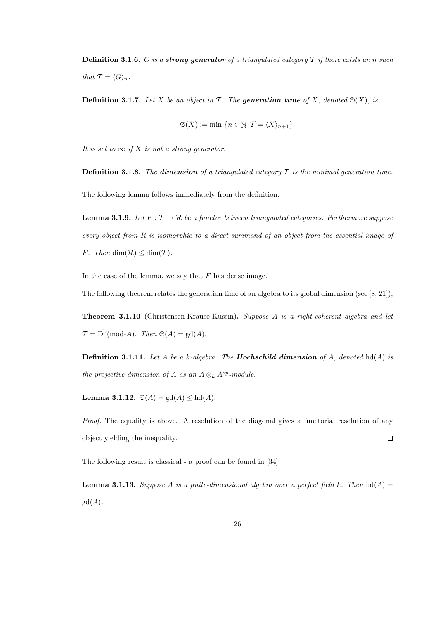**Definition 3.1.6.** G is a **strong generator** of a triangulated category  $T$  if there exists an n such that  $\mathcal{T} = \langle G \rangle_n$ .

**Definition 3.1.7.** Let X be an object in T. The **generation time** of X, denoted  $\Theta(X)$ , is

$$
\Theta(X) := \min \{ n \in \mathbb{N} | \mathcal{T} = \langle X \rangle_{n+1} \}.
$$

It is set to  $\infty$  if X is not a strong generator.

**Definition 3.1.8.** The **dimension** of a triangulated category  $\mathcal T$  is the minimal generation time.

The following lemma follows immediately from the definition.

**Lemma 3.1.9.** Let  $F: \mathcal{T} \to \mathcal{R}$  be a functor between triangulated categories. Furthermore suppose every object from R is isomorphic to a direct summand of an object from the essential image of F. Then  $\dim(\mathcal{R}) \leq \dim(\mathcal{T})$ .

In the case of the lemma, we say that  $F$  has dense image.

The following theorem relates the generation time of an algebra to its global dimension (see [8, 21]),

Theorem 3.1.10 (Christensen-Krause-Kussin). Suppose A is a right-coherent algebra and let  $\mathcal{T} = D^b(\text{mod-}A)$ . Then  $\Theta(A) = \text{gd}(A)$ .

**Definition 3.1.11.** Let A be a k-algebra. The **Hochschild dimension** of A, denoted hd(A) is the projective dimension of A as an  $A \otimes_k A^{op}\text{-module}.$ 

Lemma 3.1.12.  $\Theta(A) = \text{gd}(A) \leq \text{hd}(A)$ .

Proof. The equality is above. A resolution of the diagonal gives a functorial resolution of any object yielding the inequality.  $\Box$ 

The following result is classical - a proof can be found in [34].

**Lemma 3.1.13.** Suppose A is a finite-dimensional algebra over a perfect field k. Then  $hd(A)$  $gd(A).$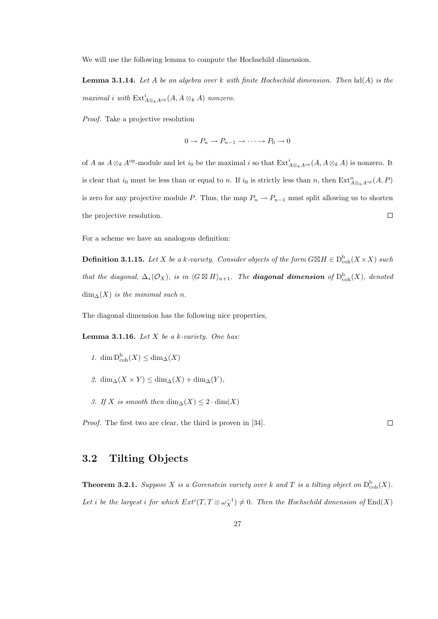We will use the following lemma to compute the Hochschild dimension.

**Lemma 3.1.14.** Let A be an algebra over k with finite Hochschild dimension. Then  $hd(A)$  is the maximal i with  $\mathrm{Ext}^i_{A\otimes_k A^{op}}(A, A \otimes_k A)$  nonzero.

Proof. Take a projective resolution

$$
0 \to P_n \to P_{n-1} \to \cdots \to P_0 \to 0
$$

of A as  $A\otimes_k A^{op}$ -module and let  $i_0$  be the maximal i so that  $\mathrm{Ext}^i_{A\otimes_k A^{op}}(A, A\otimes_k A)$  is nonzero. It is clear that  $i_0$  must be less than or equal to n. If  $i_0$  is strictly less than n, then  $\text{Ext}^n_{A\otimes_k A^{op}}(A, P)$ is zero for any projective module P. Thus, the map  $P_n \to P_{n-1}$  must split allowing us to shorten the projective resolution.  $\Box$ 

For a scheme we have an analogous definition:

**Definition 3.1.15.** Let X be a k-variety. Consider objects of the form  $G \boxtimes H \in D^b_{coh}(X \times X)$  such that the diagonal,  $\Delta_*(\mathcal{O}_X)$ , is in  $\langle G \boxtimes H\rangle_{n+1}$ . The **diagonal dimension** of  $D^{\mathrm{b}}_{\mathrm{coh}}(X)$ , denoted  $\dim_{\Delta}(X)$  is the minimal such n.

The diagonal dimension has the following nice properties,

**Lemma 3.1.16.** Let  $X$  be a k-variety. One has:

- 1. dim  $D_{\mathrm{coh}}^{b}(X) \leq \dim_{\Delta}(X)$
- 2.  $\dim_{\Delta}(X \times Y) \leq \dim_{\Delta}(X) + \dim_{\Delta}(Y)$ ,
- 3. If X is smooth then  $\dim_{\Delta}(X) \leq 2 \cdot \dim(X)$

Proof. The first two are clear, the third is proven in [34].

 $\Box$ 

### 3.2 Tilting Objects

**Theorem 3.2.1.** Suppose X is a Gorenstein variety over k and T is a tilting object on  $D_{\text{coh}}^{b}(X)$ . Let i be the largest i for which  $Ext^i(T, T \otimes \omega_X^{-1}) \neq 0$ . Then the Hochschild dimension of  $End(X)$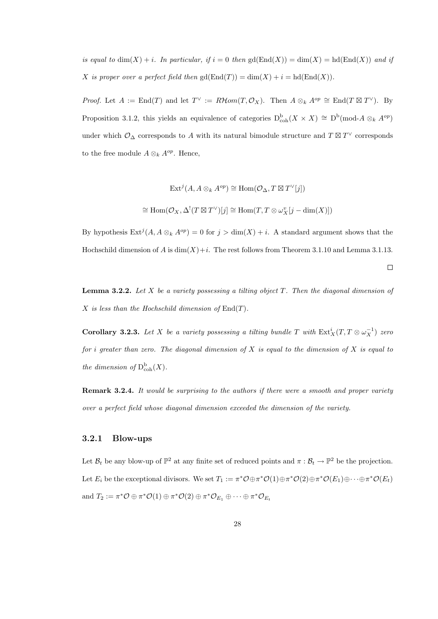is equal to  $\dim(X) + i$ . In particular, if  $i = 0$  then  $\text{gd}(\text{End}(X)) = \dim(X) = \text{hd}(\text{End}(X))$  and if X is proper over a perfect field then  $gd(End(T)) = dim(X) + i = hd(End(X)).$ 

*Proof.* Let  $A := \text{End}(T)$  and let  $T^{\vee} := R\mathcal{H}om(T, \mathcal{O}_X)$ . Then  $A \otimes_k A^{op} \cong \text{End}(T \boxtimes T^{\vee})$ . By Proposition 3.1.2, this yields an equivalence of categories  $D_{\text{coh}}^{b}(X \times X) \cong D^{b}(\text{mod-}A \otimes_{k} A^{op})$ under which  $\mathcal{O}_{\Delta}$  corresponds to A with its natural bimodule structure and  $T \boxtimes T^{\vee}$  corresponds to the free module  $A \otimes_k A^{op}$ . Hence,

$$
\operatorname{Ext}^j(A, A \otimes_k A^{op}) \cong \operatorname{Hom}(\mathcal{O}_{\Delta}, T \boxtimes T^{\vee}[j])
$$
  

$$
\cong \operatorname{Hom}(\mathcal{O}_X, \Delta^!(T \boxtimes T^{\vee})[j] \cong \operatorname{Hom}(T, T \otimes \omega_X^v[j - \dim(X)])
$$

By hypothesis  $\text{Ext}^{j}(A, A \otimes_{k} A^{op}) = 0$  for  $j > \dim(X) + i$ . A standard argument shows that the Hochschild dimension of A is  $\dim(X)+i$ . The rest follows from Theorem 3.1.10 and Lemma 3.1.13.

 $\Box$ 

**Lemma 3.2.2.** Let X be a variety possessing a tilting object  $T$ . Then the diagonal dimension of X is less than the Hochschild dimension of  $End(T)$ .

**Corollary 3.2.3.** Let X be a variety possessing a tilting bundle T with  $\text{Ext}^i_X(T, T \otimes \omega_X^{-1})$  zero for i greater than zero. The diagonal dimension of  $X$  is equal to the dimension of  $X$  is equal to the dimension of  $D^b_{coh}(X)$ .

**Remark 3.2.4.** It would be surprising to the authors if there were a smooth and proper variety over a perfect field whose diagonal dimension exceeded the dimension of the variety.

### 3.2.1 Blow-ups

Let  $\mathcal{B}_t$  be any blow-up of  $\mathbb{P}^2$  at any finite set of reduced points and  $\pi : \mathcal{B}_t \to \mathbb{P}^2$  be the projection. Let  $E_i$  be the exceptional divisors. We set  $T_1 := \pi^* \mathcal{O} \oplus \pi^* \mathcal{O}(1) \oplus \pi^* \mathcal{O}(2) \oplus \pi^* \mathcal{O}(E_1) \oplus \cdots \oplus \pi^* \mathcal{O}(E_t)$ and  $T_2 := \pi^* \mathcal{O} \oplus \pi^* \mathcal{O}(1) \oplus \pi^* \mathcal{O}(2) \oplus \pi^* \mathcal{O}_{E_1} \oplus \cdots \oplus \pi^* \mathcal{O}_{E_t}$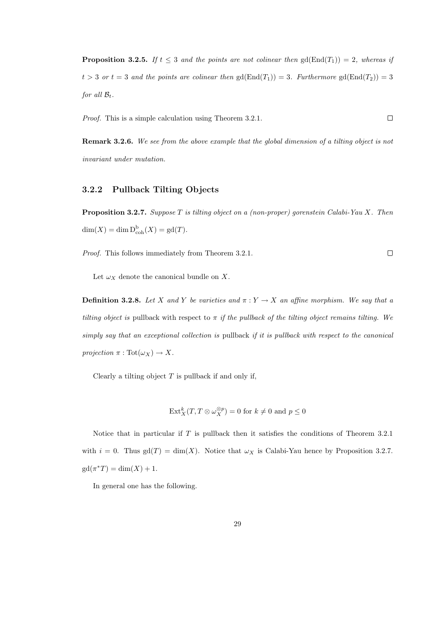**Proposition 3.2.5.** If  $t \leq 3$  and the points are not colinear then  $gd(End(T_1)) = 2$ , whereas if  $t > 3$  or  $t = 3$  and the points are colinear then  $gd(End(T_1)) = 3$ . Furthermore  $gd(End(T_2)) = 3$ for all  $\mathcal{B}_t$ .

Proof. This is a simple calculation using Theorem 3.2.1.  $\Box$ 

Remark 3.2.6. We see from the above example that the global dimension of a tilting object is not invariant under mutation.

### 3.2.2 Pullback Tilting Objects

**Proposition 3.2.7.** Suppose T is tilting object on a (non-proper) gorenstein Calabi-Yau X. Then  $dim(X) = dim \, D_{coh}^b(X) = gd(T).$ 

Proof. This follows immediately from Theorem 3.2.1.

 $\Box$ 

Let  $\omega_X$  denote the canonical bundle on X.

**Definition 3.2.8.** Let X and Y be varieties and  $\pi: Y \to X$  an affine morphism. We say that a tilting object is pullback with respect to  $\pi$  if the pullback of the tilting object remains tilting. We simply say that an exceptional collection is pullback if it is pullback with respect to the canonical projection  $\pi : \text{Tot}(\omega_X) \to X$ .

Clearly a tilting object  $T$  is pullback if and only if,

$$
\text{Ext}^k_X(T, T \otimes \omega_X^{\otimes p}) = 0 \text{ for } k \neq 0 \text{ and } p \leq 0
$$

Notice that in particular if T is pullback then it satisfies the conditions of Theorem 3.2.1 with  $i = 0$ . Thus gd(T) = dim(X). Notice that  $\omega_X$  is Calabi-Yau hence by Proposition 3.2.7.  $gd(\pi^*T) = \dim(X) + 1.$ 

In general one has the following.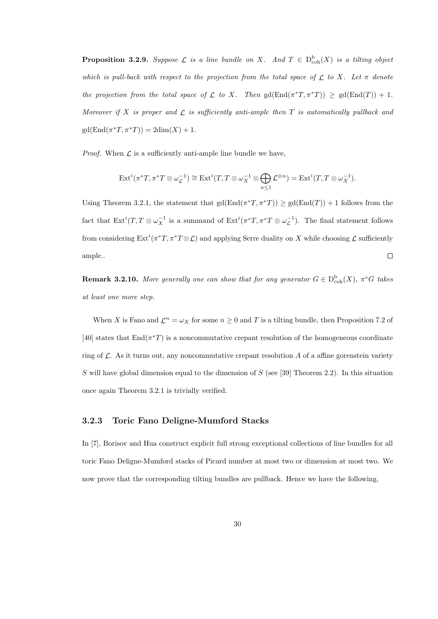**Proposition 3.2.9.** Suppose  $\mathcal{L}$  is a line bundle on X. And  $T \in D^b_{coh}(X)$  is a tilting object which is pull-back with respect to the projection from the total space of  $\mathcal L$  to X. Let  $\pi$  denote the projection from the total space of  $\mathcal L$  to X. Then  $gd(End(\pi^*T, \pi^*T)) \geq gd(End(T)) + 1$ . Moreover if X is proper and  $\mathcal L$  is sufficiently anti-ample then T is automatically pullback and  $gd(End(\pi^*T, \pi^*T)) = 2dim(X) + 1.$ 

*Proof.* When  $\mathcal L$  is a sufficiently anti-ample line bundle we have,

$$
\operatorname{Ext}^i(\pi^*T, \pi^*T \otimes \omega_{\mathcal{L}}^{-1}) \cong \operatorname{Ext}^i(T, T \otimes \omega_X^{-1} \otimes \bigoplus_{n \leq 1} \mathcal{L}^{\otimes n}) = \operatorname{Ext}^i(T, T \otimes \omega_X^{-1}).
$$

Using Theorem 3.2.1, the statement that  $gd(End(\pi^*T, \pi^*T)) \geq gd(End(T)) + 1$  follows from the fact that  $Ext^{i}(T, T \otimes \omega_X^{-1})$  is a summand of  $Ext^{i}(\pi^*T, \pi^*T \otimes \omega_{\mathcal{L}}^{-1})$ . The final statement follows from considering  $\mathrm{Ext}^i(\pi^*T, \pi^*T \otimes \mathcal{L})$  and applying Serre duality on X while choosing  $\mathcal{L}$  sufficiently ample..  $\Box$ 

**Remark 3.2.10.** More generally one can show that for any generator  $G \in D^b_{coh}(X)$ ,  $\pi^*G$  takes at least one more step.

When X is Fano and  $\mathcal{L}^n = \omega_X$  for some  $n \geq 0$  and T is a tilting bundle, then Proposition 7.2 of [40] states that  $\text{End}(\pi^*T)$  is a noncommutative crepant resolution of the homogeneous coordinate ring of  $\mathcal{L}$ . As it turns out, any noncommutative crepant resolution A of a affine gorenstein variety S will have global dimension equal to the dimension of S (see [39] Theorem 2.2). In this situation once again Theorem 3.2.1 is trivially verified.

### 3.2.3 Toric Fano Deligne-Mumford Stacks

In [7], Borisov and Hua construct explicit full strong exceptional collections of line bundles for all toric Fano Deligne-Mumford stacks of Picard number at most two or dimension at most two. We now prove that the corresponding tilting bundles are pullback. Hence we have the following,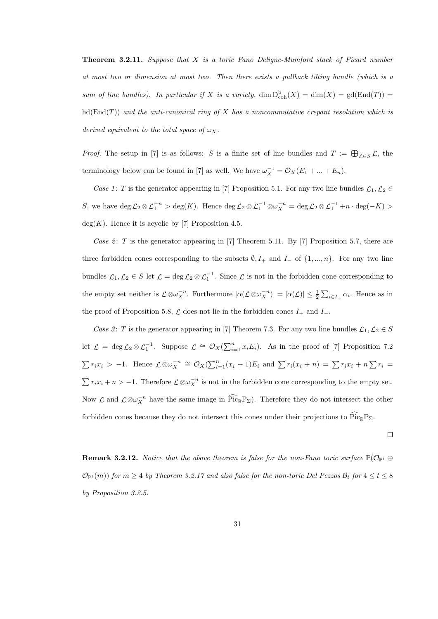**Theorem 3.2.11.** Suppose that  $X$  is a toric Fano Deligne-Mumford stack of Picard number at most two or dimension at most two. Then there exists a pullback tilting bundle (which is a sum of line bundles). In particular if X is a variety,  $\dim D^b_{coh}(X) = \dim(X) = \text{gd}(\text{End}(T)) =$  $hd(End(T))$  and the anti-canonical ring of X has a noncommutative crepant resolution which is derived equivalent to the total space of  $\omega_X$ .

*Proof.* The setup in [7] is as follows: S is a finite set of line bundles and  $T := \bigoplus_{\mathcal{L} \in S} \mathcal{L}$ , the terminology below can be found in [7] as well. We have  $\omega_X^{-1} = \mathcal{O}_X(E_1 + ... + E_n)$ .

Case 1: T is the generator appearing in [7] Proposition 5.1. For any two line bundles  $\mathcal{L}_1, \mathcal{L}_2 \in$ S, we have  $\deg \mathcal{L}_2 \otimes \mathcal{L}_1^{-n} > \deg(K)$ . Hence  $\deg \mathcal{L}_2 \otimes \mathcal{L}_1^{-1} \otimes \omega_X^{-n} = \deg \mathcal{L}_2 \otimes \mathcal{L}_1^{-1} + n \cdot \deg(-K) >$  $deg(K)$ . Hence it is acyclic by [7] Proposition 4.5.

Case 2: T is the generator appearing in [7] Theorem 5.11. By [7] Proposition 5.7, there are three forbidden cones corresponding to the subsets  $\emptyset, I_+$  and  $I_-$  of  $\{1, ..., n\}$ . For any two line bundles  $\mathcal{L}_1, \mathcal{L}_2 \in S$  let  $\mathcal{L} = \deg \mathcal{L}_2 \otimes \mathcal{L}_1^{-1}$ . Since  $\mathcal{L}$  is not in the forbidden cone corresponding to the empty set neither is  $\mathcal{L} \otimes \omega_X^{-n}$ . Furthermore  $|\alpha(\mathcal{L} \otimes \omega_X^{-n})| = |\alpha(\mathcal{L})| \leq \frac{1}{2} \sum_{i \in I_+} \alpha_i$ . Hence as in the proof of Proposition 5.8,  $\mathcal L$  does not lie in the forbidden cones  $I_+$  and  $I_-$ .

Case 3: T is the generator appearing in [7] Theorem 7.3. For any two line bundles  $\mathcal{L}_1, \mathcal{L}_2 \in S$ let  $\mathcal{L} = \deg \mathcal{L}_2 \otimes \mathcal{L}_1^{-1}$ . Suppose  $\mathcal{L} \cong \mathcal{O}_X(\sum_{i=1}^n x_i E_i)$ . As in the proof of [7] Proposition 7.2  $\sum r_i x_i > -1$ . Hence  $\mathcal{L} \otimes \omega_X^{-n} \cong \mathcal{O}_X(\sum_{i=1}^n (x_i + 1)E_i$  and  $\sum r_i(x_i + n) = \sum r_i x_i + n \sum r_i =$  $\sum r_i x_i + n > -1$ . Therefore  $\mathcal{L} \otimes \omega_X^{-n}$  is not in the forbidden cone corresponding to the empty set. Now  $\mathcal{L}$  and  $\mathcal{L} \otimes \omega_X^{-n}$  have the same image in  $\widehat{Pic}_{\mathbb{R}} \mathbb{P}_{\Sigma}$ ). Therefore they do not intersect the other forbidden cones because they do not intersect this cones under their projections to  $\widehat{Pic}_{\mathbb R} \mathbb P_{\Sigma}$ .

$$
\Box
$$

**Remark 3.2.12.** Notice that the above theorem is false for the non-Fano toric surface  $\mathbb{P}(\mathcal{O}_{\mathbb{P}^1} \oplus$  $\mathcal{O}_{\mathbb{P}^1}(m)$  for  $m \geq 4$  by Theorem 3.2.17 and also false for the non-toric Del Pezzos  $\mathcal{B}_t$  for  $4 \leq t \leq 8$ by Proposition 3.2.5.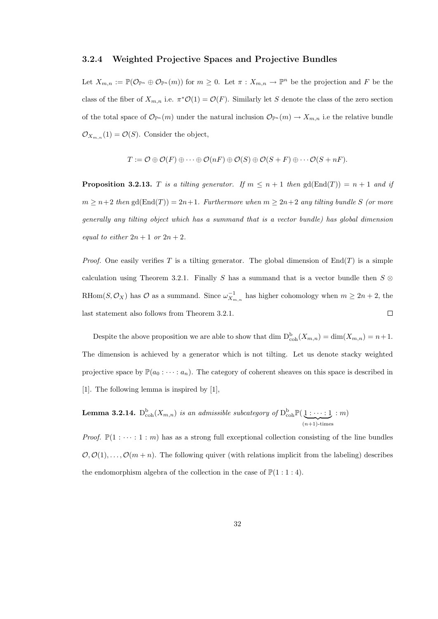#### 3.2.4 Weighted Projective Spaces and Projective Bundles

Let  $X_{m,n} := \mathbb{P}(\mathcal{O}_{\mathbb{P}^n} \oplus \mathcal{O}_{\mathbb{P}^n}(m))$  for  $m \geq 0$ . Let  $\pi : X_{m,n} \to \mathbb{P}^n$  be the projection and F be the class of the fiber of  $X_{m,n}$  i.e.  $\pi^* \mathcal{O}(1) = \mathcal{O}(F)$ . Similarly let S denote the class of the zero section of the total space of  $\mathcal{O}_{\mathbb{P}^n}(m)$  under the natural inclusion  $\mathcal{O}_{\mathbb{P}^n}(m) \to X_{m,n}$  i.e the relative bundle  $\mathcal{O}_{X_{m,n}}(1) = \mathcal{O}(S)$ . Consider the object,

$$
T := \mathcal{O} \oplus \mathcal{O}(F) \oplus \cdots \oplus \mathcal{O}(nF) \oplus \mathcal{O}(S) \oplus \mathcal{O}(S + F) \oplus \cdots \mathcal{O}(S + nF).
$$

**Proposition 3.2.13.** T is a tilting generator. If  $m \leq n+1$  then  $gd(End(T)) = n+1$  and if  $m \geq n+2$  then  $gd(End(T)) = 2n+1$ . Furthermore when  $m \geq 2n+2$  any tilting bundle S (or more generally any tilting object which has a summand that is a vector bundle) has global dimension equal to either  $2n + 1$  or  $2n + 2$ .

*Proof.* One easily verifies T is a tilting generator. The global dimension of  $\text{End}(T)$  is a simple calculation using Theorem 3.2.1. Finally S has a summand that is a vector bundle then  $S \otimes$ RHom $(S, \mathcal{O}_X)$  has  $\mathcal O$  as a summand. Since  $\omega_{X_{m,n}}^{-1}$  has higher cohomology when  $m \geq 2n+2$ , the last statement also follows from Theorem 3.2.1.  $\Box$ 

Despite the above proposition we are able to show that dim  $D_{\text{coh}}^{b}(X_{m,n}) = \dim(X_{m,n}) = n+1$ . The dimension is achieved by a generator which is not tilting. Let us denote stacky weighted projective space by  $\mathbb{P}(a_0 : \cdots : a_n)$ . The category of coherent sheaves on this space is described in [1]. The following lemma is inspired by [1],

**Lemma 3.2.14.**  $D^{\text{b}}_{\text{coh}}(X_{m,n})$  is an admissible subcategory of  $D^{\text{b}}_{\text{coh}}\mathbb{P}(\underbrace{1:\cdots:1})$  $(n+1)$ -times : m)

*Proof.*  $\mathbb{P}(1:\cdots:1:m)$  has as a strong full exceptional collection consisting of the line bundles  $\mathcal{O}, \mathcal{O}(1), \ldots, \mathcal{O}(m+n)$ . The following quiver (with relations implicit from the labeling) describes the endomorphism algebra of the collection in the case of  $\mathbb{P}(1:1:4)$ .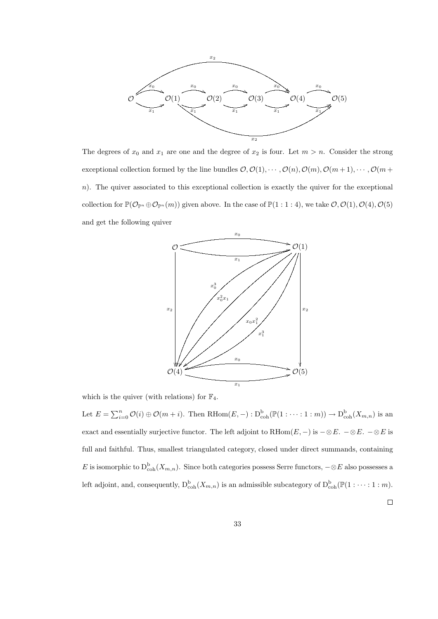

The degrees of  $x_0$  and  $x_1$  are one and the degree of  $x_2$  is four. Let  $m > n$ . Consider the strong exceptional collection formed by the line bundles  $\mathcal{O}, \mathcal{O}(1), \cdots, \mathcal{O}(n), \mathcal{O}(m), \mathcal{O}(m+1), \cdots, \mathcal{O}(m+1)$ n). The quiver associated to this exceptional collection is exactly the quiver for the exceptional collection for  $\mathbb{P}(\mathcal{O}_{\mathbb{P}^n} \oplus \mathcal{O}_{\mathbb{P}^n}(m))$  given above. In the case of  $\mathbb{P}(1:1:4)$ , we take  $\mathcal{O}, \mathcal{O}(1), \mathcal{O}(4), \mathcal{O}(5)$ and get the following quiver



which is the quiver (with relations) for  $\mathbb{F}_4$ .

Let  $E = \sum_{i=0}^{n} \mathcal{O}(i) \oplus \mathcal{O}(m+i)$ . Then RHom $(E, -): \mathcal{D}_{\text{coh}}^{\text{b}}(\mathbb{P}(1:\cdots:1:m)) \to \mathcal{D}_{\text{coh}}^{\text{b}}(X_{m,n})$  is an exact and essentially surjective functor. The left adjoint to RHom $(E, -)$  is  $-\otimes E$ .  $-\otimes E$ .  $-\otimes E$  is full and faithful. Thus, smallest triangulated category, closed under direct summands, containing E is isomorphic to  $D_{\text{coh}}^{\text{b}}(X_{m,n})$ . Since both categories possess Serre functors,  $-\otimes E$  also possesses a left adjoint, and, consequently,  $D_{\text{coh}}^{b}(X_{m,n})$  is an admissible subcategory of  $D_{\text{coh}}^{b}(\mathbb{P}(1:\cdots:1:m))$ .

 $\Box$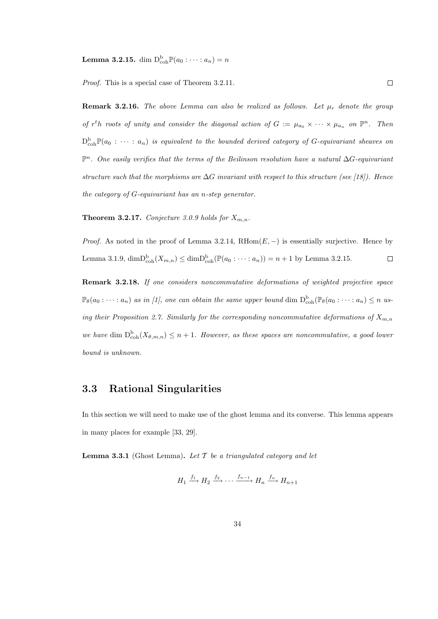**Lemma 3.2.15.** dim  $D_{\textrm{coh}}^{\textrm{b}}\mathbb{P}(a_0:\cdots:a_n)=n$ 

Proof. This is a special case of Theorem 3.2.11.

**Remark 3.2.16.** The above Lemma can also be realized as follows. Let  $\mu_r$  denote the group of  $r^t h$  roots of unity and consider the diagonal action of  $G := \mu_{a_0} \times \cdots \times \mu_{a_n}$  on  $\mathbb{P}^n$ . Then  $D^{\mathrm{b}}_{\mathrm{coh}}\mathbb{P}(a_0: \cdots: a_n)$  is equivalent to the bounded derived category of G-equivariant sheaves on P<sup>n</sup>. One easily verifies that the terms of the Beilinson resolution have a natural ∆G-equivariant structure such that the morphisms are  $\Delta G$  invariant with respect to this structure (see [18]). Hence the category of G-equivariant has an n-step generator.

**Theorem 3.2.17.** Conjecture 3.0.9 holds for  $X_{m,n}$ .

*Proof.* As noted in the proof of Lemma 3.2.14,  $RHom(E, -)$  is essentially surjective. Hence by Lemma 3.1.9,  $\dim\mathrm{D}_{\mathrm{coh}}^{\mathrm{b}}(X_{m,n}) \leq \dim\mathrm{D}_{\mathrm{coh}}^{\mathrm{b}}(\mathbb{P}(a_0:\cdots:a_n)) = n+1$  by Lemma 3.2.15.  $\Box$ 

Remark 3.2.18. If one considers noncommutative deformations of weighted projective space  $\mathbb{P}_{\theta}(a_0 : \cdots : a_n)$  as in [1], one can obtain the same upper bound dim  $D_{\text{coh}}^b(\mathbb{P}_{\theta}(a_0 : \cdots : a_n) \leq n$  using their Proposition 2.7. Similarly for the corresponding noncommutative deformations of  $X_{m,n}$ we have dim  $D_{\text{coh}}^{b}(X_{\theta,m,n}) \leq n+1$ . However, as these spaces are noncommutative, a good lower bound is unknown.

### 3.3 Rational Singularities

In this section we will need to make use of the ghost lemma and its converse. This lemma appears in many places for example [33, 29].

**Lemma 3.3.1** (Ghost Lemma). Let  $\mathcal T$  be a triangulated category and let

$$
H_1 \xrightarrow{f_1} H_2 \xrightarrow{f_2} \cdots \xrightarrow{f_{n-1}} H_n \xrightarrow{f_n} H_{n+1}
$$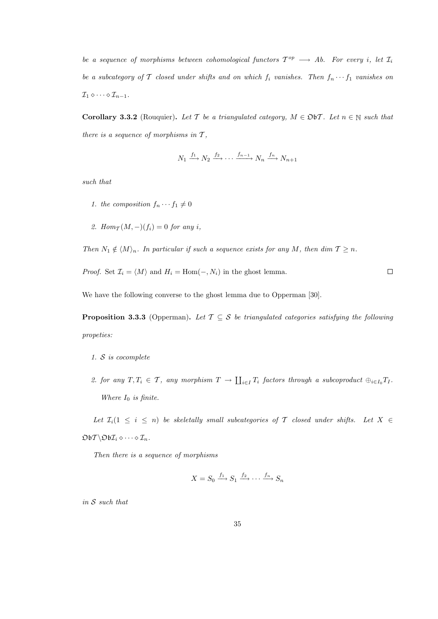be a sequence of morphisms between cohomological functors  $T^{op} \longrightarrow Ab$ . For every i, let  $\mathcal{I}_i$ be a subcategory of T closed under shifts and on which  $f_i$  vanishes. Then  $f_n \cdots f_1$  vanishes on  $\mathcal{I}_1 \diamond \cdots \diamond \mathcal{I}_{n-1}.$ 

Corollary 3.3.2 (Rouquier). Let T be a triangulated category,  $M \in \mathfrak{DbT}$ . Let  $n \in \mathbb{N}$  such that there is a sequence of morphisms in  $T$ ,

$$
N_1 \xrightarrow{f_1} N_2 \xrightarrow{f_2} \cdots \xrightarrow{f_{n-1}} N_n \xrightarrow{f_n} N_{n+1}
$$

such that

- 1. the composition  $f_n \cdots f_1 \neq 0$
- 2. Hom $_{\mathcal{T}}(M,-)(f_i)=0$  for any i,

Then  $N_1 \notin \langle M \rangle_n$ . In particular if such a sequence exists for any M, then dim  $T \geq n$ .

*Proof.* Set  $\mathcal{I}_i = \langle M \rangle$  and  $H_i = \text{Hom}(-, N_i)$  in the ghost lemma.

 $\Box$ 

We have the following converse to the ghost lemma due to Opperman [30].

**Proposition 3.3.3** (Opperman). Let  $\mathcal{T} \subseteq \mathcal{S}$  be triangulated categories satisfying the following propeties:

- 1. S is cocomplete
- 2. for any  $T, T_i \in \mathcal{T}$ , any morphism  $T \to \coprod_{i \in I} T_i$  factors through a subcoproduct  $\bigoplus_{i \in I_0} T_i$ . Where  $I_0$  is finite.

Let  $\mathcal{I}_i(1 \leq i \leq n)$  be skeletally small subcategories of T closed under shifts. Let  $X \in$  $\mathfrak{D}\mathfrak{b} \mathcal{T} \backslash \mathfrak{D}\mathfrak{b} \mathcal{I}_i \diamond \cdots \diamond \mathcal{I}_n$ .

Then there is a sequence of morphisms

$$
X = S_0 \xrightarrow{f_1} S_1 \xrightarrow{f_2} \cdots \xrightarrow{f_n} S_n
$$

in S such that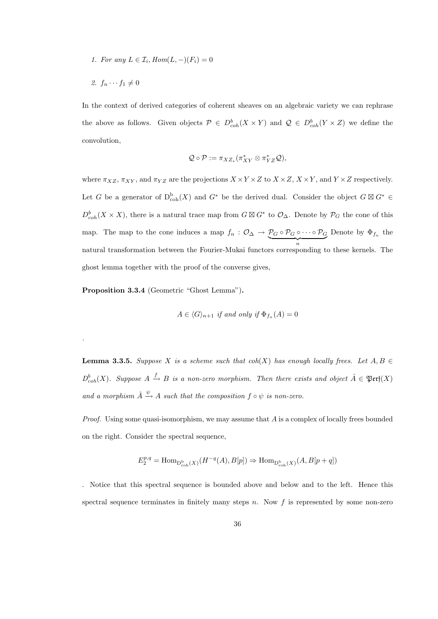1. For any  $L \in \mathcal{I}_i$ ,  $Hom(L, -)(F_i) = 0$ 

2. 
$$
f_n \cdots f_1 \neq 0
$$

.

In the context of derived categories of coherent sheaves on an algebraic variety we can rephrase the above as follows. Given objects  $P \in D^b_{coh}(X \times Y)$  and  $\mathcal{Q} \in D^b_{coh}(Y \times Z)$  we define the convolution,

$$
\mathcal{Q}\circ\mathcal{P}:=\pi_{XZ_*}(\pi_{XY}^*\otimes\pi_{YZ}^*\mathcal{Q}),
$$

where  $\pi_{XZ}$ ,  $\pi_{XY}$ , and  $\pi_{YZ}$  are the projections  $X \times Y \times Z$  to  $X \times Z$ ,  $X \times Y$ , and  $Y \times Z$  respectively. Let G be a generator of  $D_{\text{coh}}^{b}(X)$  and  $G^*$  be the derived dual. Consider the object  $G \boxtimes G^* \in$  $D_{coh}^b(X \times X)$ , there is a natural trace map from  $G \boxtimes G^*$  to  $\mathcal{O}_{\Delta}$ . Denote by  $\mathcal{P}_G$  the cone of this map. The map to the cone induces a map  $f_n : \mathcal{O}_\Delta \to \mathcal{P}_G \circ \mathcal{P}_G \circ \cdots \circ \mathcal{P}_G$  $\overbrace{n}$ Denote by  $\Phi_{f_n}$  the natural transformation between the Fourier-Mukai functors corresponding to these kernels. The ghost lemma together with the proof of the converse gives,

Proposition 3.3.4 (Geometric "Ghost Lemma").

$$
A \in \langle G \rangle_{n+1} \text{ if and only if } \Phi_{f_n}(A) = 0
$$

**Lemma 3.3.5.** Suppose X is a scheme such that coh(X) has enough locally frees. Let  $A, B \in$  $D^b_{coh}(X)$ . Suppose  $A \xrightarrow{f} B$  is a non-zero morphism. Then there exists and object  $\hat{A} \in \mathfrak{Perf}(X)$ and a morphism  $\hat{A} \stackrel{\psi}{\rightarrow} A$  such that the composition  $f \circ \psi$  is non-zero.

*Proof.* Using some quasi-isomorphism, we may assume that  $\tilde{A}$  is a complex of locally frees bounded on the right. Consider the spectral sequence,

$$
E_2^{p,q} = \text{Hom}_{\mathcal{D}_{\text{coh}}^{\text{b}}(X)}(H^{-q}(A), B[p]) \Rightarrow \text{Hom}_{\mathcal{D}_{\text{coh}}^{\text{b}}(X)}(A, B[p+q])
$$

. Notice that this spectral sequence is bounded above and below and to the left. Hence this spectral sequence terminates in finitely many steps  $n$ . Now  $f$  is represented by some non-zero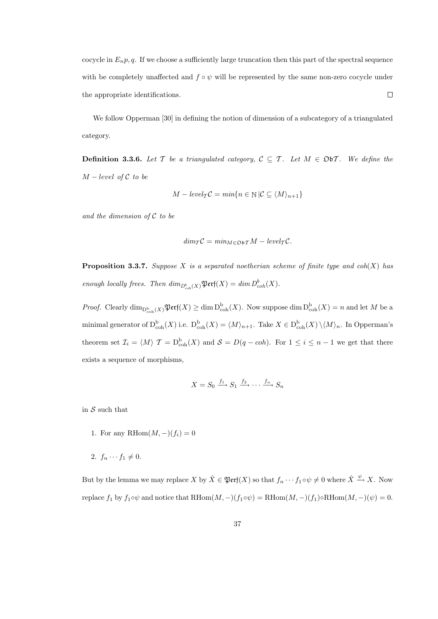cocycle in  $E_n p$ , q. If we choose a sufficiently large truncation then this part of the spectral sequence with be completely unaffected and  $f \circ \psi$  will be represented by the same non-zero cocycle under the appropriate identifications.  $\Box$ 

We follow Opperman [30] in defining the notion of dimension of a subcategory of a triangulated category.

**Definition 3.3.6.** Let T be a triangulated category,  $C \subseteq T$ . Let  $M \in \mathfrak{D}bT$ . We define the  $M-level of C to be$ 

$$
M - level_T C = min\{n \in \mathbb{N} \,|\, C \subseteq \langle M \rangle_{n+1}\}
$$

and the dimension of  $C$  to be

$$
dim_{\mathcal{T}}\mathcal{C} = min_{M \in \mathfrak{D} \mathfrak{b} \mathcal{T}}M - level_{\mathcal{T}}\mathcal{C}.
$$

**Proposition 3.3.7.** Suppose X is a separated noetherian scheme of finite type and  $coh(X)$  has enough locally frees. Then  $\dim_{D^b_{coh}(X)} \mathfrak{Perf}(X) = \dim D^b_{coh}(X)$ .

*Proof.* Clearly  $\dim_{\mathrm{D}_{\mathrm{coh}}^{\mathrm{b}}(X)} \mathfrak{Perf}(X) \ge \dim \mathrm{D}_{\mathrm{coh}}^{\mathrm{b}}(X)$ . Now suppose  $\dim \mathrm{D}_{\mathrm{coh}}^{\mathrm{b}}(X) = n$  and let M be a minimal generator of  $D^b_{coh}(X)$  i.e.  $D^b_{coh}(X) = \langle M \rangle_{n+1}$ . Take  $X \in D^b_{coh}(X) \setminus \langle M \rangle_n$ . In Opperman's theorem set  $\mathcal{I}_i = \langle M \rangle$   $\mathcal{T} = D_{\text{coh}}^{\text{b}}(X)$  and  $\mathcal{S} = D(q - coh)$ . For  $1 \leq i \leq n-1$  we get that there exists a sequence of morphisms,

$$
X = S_0 \xrightarrow{f_1} S_1 \xrightarrow{f_2} \cdots \xrightarrow{f_n} S_n
$$

in  $S$  such that

- 1. For any RHom $(M, -)(f_i) = 0$
- 2.  $f_n \cdots f_1 \neq 0$ .

But by the lemma we may replace  $X$  by  $\hat{X} \in \mathfrak{Perf}(X)$  so that  $f_n \cdots f_1 \circ \psi \neq 0$  where  $\hat{X} \xrightarrow{\psi} X$ . Now replace  $f_1$  by  $f_1 \circ \psi$  and notice that  $\text{RHom}(M, -)(f_1 \circ \psi) = \text{RHom}(M, -)(f_1) \circ \text{RHom}(M, -)(\psi) = 0.$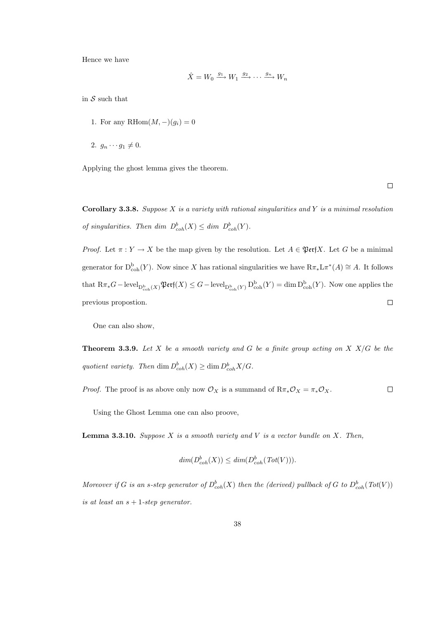Hence we have

$$
\hat{X} = W_0 \xrightarrow{g_1} W_1 \xrightarrow{g_2} \cdots \xrightarrow{g_n} W_n
$$

in  $S$  such that

- 1. For any RHom $(M, -)(q_i) = 0$
- 2.  $g_n \cdots g_1 \neq 0$ .

Applying the ghost lemma gives the theorem.

 $\Box$ 

Corollary 3.3.8. Suppose  $X$  is a variety with rational singularities and  $Y$  is a minimal resolution of singularities. Then dim  $D^b_{coh}(X) \leq dim \ D^b_{coh}(Y)$ .

*Proof.* Let  $\pi: Y \to X$  be the map given by the resolution. Let  $A \in \mathfrak{Perf}X$ . Let G be a minimal generator for  $D_{\rm coh}^{\rm b}(Y)$ . Now since X has rational singularities we have  $R\pi_* L\pi^*(A) \cong A$ . It follows that  $R\pi_*G-\mathrm{level}_{\mathrm{D^b_{coh}}(X)}\mathfrak{Perf}(X)\leq G-\mathrm{level}_{\mathrm{D^b_{coh}}(Y)}\mathrm{D^b_{coh}}(Y)=\dim \mathrm{D^b_{coh}}(Y).$  Now one applies the previous propostion.  $\Box$ 

One can also show,

**Theorem 3.3.9.** Let X be a smooth variety and G be a finite group acting on X  $X/G$  be the quotient variety. Then dim  $D^b_{coh}(X) \geq \dim D^b_{coh}X/G$ .

*Proof.* The proof is as above only now  $\mathcal{O}_X$  is a summand of  $R\pi_*\mathcal{O}_X = \pi_*\mathcal{O}_X$ .  $\Box$ 

Using the Ghost Lemma one can also proove,

**Lemma 3.3.10.** Suppose  $X$  is a smooth variety and  $V$  is a vector bundle on  $X$ . Then,

$$
dim(D_{coh}^b(X)) \leq dim(D_{coh}^b(\operatorname{Tot}(V))).
$$

Moreover if G is an s-step generator of  $D^b_{coh}(X)$  then the (derived) pullback of G to  $D^b_{coh}(Tot(V))$ is at least an  $s + 1$ -step generator.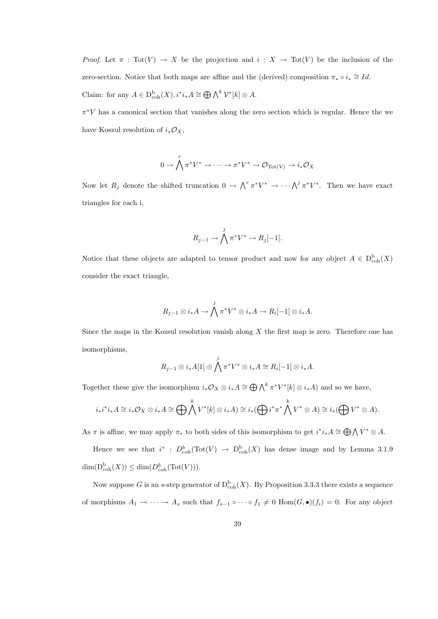*Proof.* Let  $\pi : \text{Tot}(V) \to X$  be the projection and  $i : X \to \text{Tot}(V)$  be the inclusion of the zero-section. Notice that both maps are affine and the (derived) composition  $\pi_* \circ i_* \cong Id$ . Claim: for any  $A \in D^{\text{b}}_{\text{coh}}(X), i^*i_*A \cong \bigoplus \bigwedge^k \mathcal{V}^*[k] \otimes A.$ 

 $\pi^*V$  has a canonical section that vanishes along the zero section which is regular. Hence the we have Koszul resolution of  $i_*\mathcal{O}_X$ ,

$$
0 \to \bigwedge^r \pi^* V^* \to \cdots \to \pi^* V^* \to \mathcal{O}_{\text{Tot}(V)} \to i_* \mathcal{O}_X
$$

Now let  $R_j$  denote the shifted truncation  $0 \to \bigwedge^r \pi^* V^* \to \cdots \bigwedge^j \pi^* V^*$ . Then we have exact triangles for each i,

$$
R_{j-1} \to \bigwedge^j \pi^* V^* \to R_j[-1].
$$

Notice that these objects are adapted to tensor product and now for any object  $A \in D^b_{\text{coh}}(X)$ consider the exact triangle,

$$
R_{j-1}\otimes i_*A\to \bigwedge^j \pi^*V^*\otimes i_*A\to R_i[-1]\otimes i_*A.
$$

Since the maps in the Kozsul resolution vanish along  $X$  the first map is zero. Therefore one has isomorphisms,

$$
R_{j-1}\otimes i_*A[1]\oplus \bigwedge^j \pi^*V^*\otimes i_*A\cong R_i[-1]\otimes i_*A.
$$

Together these give the isomorphism  $i_*\mathcal{O}_X \otimes i_*A \cong \bigoplus \bigwedge^k \pi^*V^*[k] \otimes i_*A$  and so we have,

$$
i_*i^*i_*A \cong i_*\mathcal{O}_X \otimes i_*A \cong \bigoplus \bigwedge^k V^*[k] \otimes i_*A) \cong i_*({\bigoplus} i^*\pi^*\bigwedge^k V^* \otimes A) \cong i_*({\bigoplus} V^* \otimes A).
$$

As  $\pi$  is affine, we may apply  $\pi_*$  to both sides of this isomorphism to get  $i^*i_*A \cong \bigoplus \bigwedge V^* \otimes A$ .

Hence we see that  $i^*$ :  $D^b_{coh}(\text{Tot}(V) \to D^b_{coh}(X)$  has dense image and by Lemma 3.1.9  $\dim(\mathcal{D}_{\mathrm{coh}}^{\mathrm{b}}(X)) \leq \dim(D_{coh}^{b}(\mathrm{Tot}(V))).$ 

Now suppose G is an s-step generator of  $D^b_{\text{coh}}(X)$ . By Proposition 3.3.3 there exists a sequence of morphisms  $A_1 \to \cdots \to A_s$  such that  $f_{s-1} \circ \cdots \circ f_1 \neq 0$  Hom $(G, \bullet)(f_i) = 0$ . For any object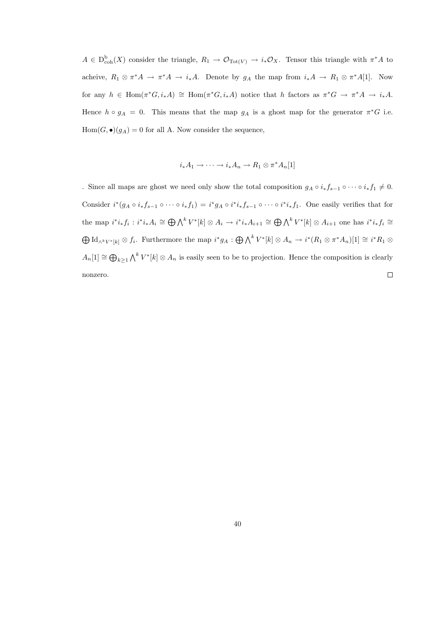$A \in D^{\text{b}}_{\text{coh}}(X)$  consider the triangle,  $R_1 \to \mathcal{O}_{\text{Tot}(V)} \to i_* \mathcal{O}_X$ . Tensor this triangle with  $\pi^* A$  to acheive,  $R_1 \otimes \pi^* A \to \pi^* A \to i_* A$ . Denote by  $g_A$  the map from  $i_* A \to R_1 \otimes \pi^* A[1]$ . Now for any  $h \in \text{Hom}(\pi^*G, i_*A) \cong \text{Hom}(\pi^*G, i_*A)$  notice that h factors as  $\pi^*G \to \pi^*A \to i_*A$ . Hence  $h \circ g_A = 0$ . This means that the map  $g_A$  is a ghost map for the generator  $\pi^*G$  i.e.  $Hom(G, \bullet)(g_A) = 0$  for all A. Now consider the sequence,

$$
i_*A_1 \to \cdots \to i_*A_n \to R_1 \otimes \pi^*A_n[1]
$$

. Since all maps are ghost we need only show the total composition  $g_A \circ i_* f_{s-1} \circ \cdots \circ i_* f_1 \neq 0$ . Consider  $i^*(g_A \circ i_*f_{s-1} \circ \cdots \circ i_*f_1) = i^*g_A \circ i^*i_*f_{s-1} \circ \cdots \circ i^*i_*f_1$ . One easily verifies that for the map  $i^*i_*f_i : i^*i_*A_i \cong \bigoplus \bigwedge^k V^*[k] \otimes A_i \to i^*i_*A_{i+1} \cong \bigoplus \bigwedge^k V^*[k] \otimes A_{i+1}$  one has  $i^*i_*f_i \cong$  $\bigoplus \mathrm{Id}_{\wedge^k V^\ast[k]} \otimes f_i$ . Furthermore the map  $i^*g_A: \bigoplus {\bigwedge}^k V^\ast[k] \otimes A_n \to i^*(R_1 \otimes \pi^\ast A_n)[1] \cong i^*R_1 \otimes$  $A_n[1] \cong \bigoplus_{k\geq 1} \bigwedge^k V^*[k] \otimes A_n$  is easily seen to be to projection. Hence the composition is clearly  $\Box$ nonzero.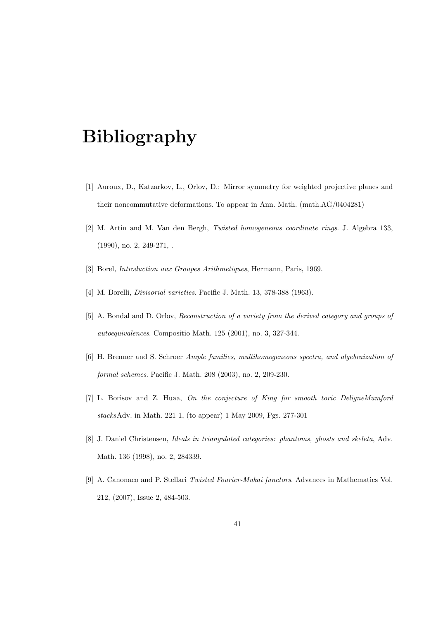## Bibliography

- [1] Auroux, D., Katzarkov, L., Orlov, D.: Mirror symmetry for weighted projective planes and their noncommutative deformations. To appear in Ann. Math. (math.AG/0404281)
- [2] M. Artin and M. Van den Bergh, Twisted homogeneous coordinate rings. J. Algebra 133, (1990), no. 2, 249-271, .
- [3] Borel, Introduction aux Groupes Arithmetiques, Hermann, Paris, 1969.
- [4] M. Borelli, Divisorial varieties. Pacific J. Math. 13, 378-388 (1963).
- [5] A. Bondal and D. Orlov, Reconstruction of a variety from the derived category and groups of autoequivalences. Compositio Math. 125 (2001), no. 3, 327-344.
- [6] H. Brenner and S. Schroer Ample families, multihomogeneous spectra, and algebraization of formal schemes. Pacific J. Math. 208 (2003), no. 2, 209-230.
- [7] L. Borisov and Z. Huaa, On the conjecture of King for smooth toric DeligneMumford stacksAdv. in Math. 221 1, (to appear) 1 May 2009, Pgs. 277-301
- [8] J. Daniel Christensen, Ideals in triangulated categories: phantoms, ghosts and skeleta, Adv. Math. 136 (1998), no. 2, 284339.
- [9] A. Canonaco and P. Stellari Twisted Fourier-Mukai functors. Advances in Mathematics Vol. 212, (2007), Issue 2, 484-503.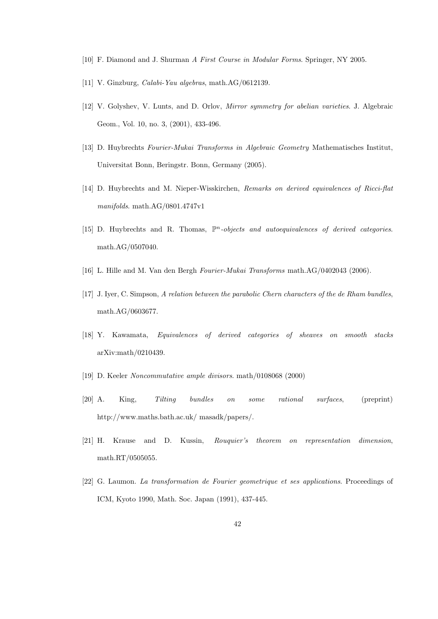- [10] F. Diamond and J. Shurman A First Course in Modular Forms. Springer, NY 2005.
- [11] V. Ginzburg, Calabi-Yau algebras, math.AG/0612139.
- [12] V. Golyshev, V. Lunts, and D. Orlov, *Mirror symmetry for abelian varieties*. J. Algebraic Geom., Vol. 10, no. 3, (2001), 433-496.
- [13] D. Huybrechts Fourier-Mukai Transforms in Algebraic Geometry Mathematisches Institut, Universitat Bonn, Beringstr. Bonn, Germany (2005).
- [14] D. Huybrechts and M. Nieper-Wisskirchen, Remarks on derived equivalences of Ricci-flat manifolds. math.AG/0801.4747v1
- [15] D. Huybrechts and R. Thomas,  $\mathbb{P}^n$ -objects and autoequivalences of derived categories. math.AG/0507040.
- [16] L. Hille and M. Van den Bergh Fourier-Mukai Transforms math.AG/0402043 (2006).
- [17] J. Iyer, C. Simpson, A relation between the parabolic Chern characters of the de Rham bundles, math.AG/0603677.
- [18] Y. Kawamata, Equivalences of derived categories of sheaves on smooth stacks arXiv:math/0210439.
- [19] D. Keeler Noncommutative ample divisors. math/0108068 (2000)
- [20] A. King, Tilting bundles on some rational surfaces, (preprint) http://www.maths.bath.ac.uk/ masadk/papers/.
- [21] H. Krause and D. Kussin, Rouquier's theorem on representation dimension, math.RT/0505055.
- [22] G. Laumon. La transformation de Fourier geometrique et ses applications. Proceedings of ICM, Kyoto 1990, Math. Soc. Japan (1991), 437-445.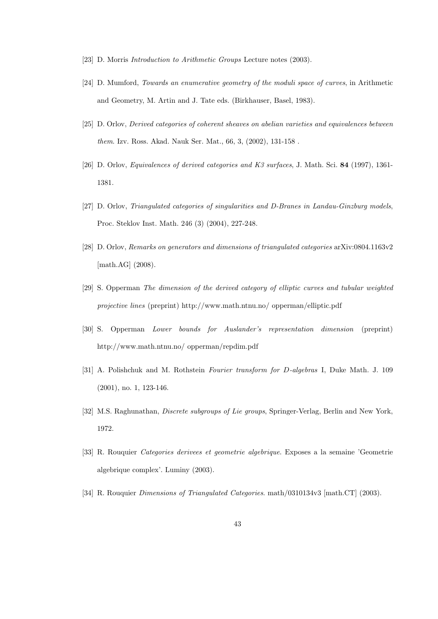- [23] D. Morris *Introduction to Arithmetic Groups* Lecture notes (2003).
- [24] D. Mumford, Towards an enumerative geometry of the moduli space of curves, in Arithmetic and Geometry, M. Artin and J. Tate eds. (Birkhauser, Basel, 1983).
- [25] D. Orlov, Derived categories of coherent sheaves on abelian varieties and equivalences between them. Izv. Ross. Akad. Nauk Ser. Mat., 66, 3, (2002), 131-158 .
- [26] D. Orlov, Equivalences of derived categories and K3 surfaces, J. Math. Sci. 84 (1997), 1361- 1381.
- [27] D. Orlov, Triangulated categories of singularities and D-Branes in Landau-Ginzburg models, Proc. Steklov Inst. Math. 246 (3) (2004), 227-248.
- [28] D. Orlov, Remarks on generators and dimensions of triangulated categories arXiv:0804.1163v2 [math.AG] (2008).
- [29] S. Opperman The dimension of the derived category of elliptic curves and tubular weighted projective lines (preprint) http://www.math.ntnu.no/ opperman/elliptic.pdf
- [30] S. Opperman Lower bounds for Auslander's representation dimension (preprint) http://www.math.ntnu.no/ opperman/repdim.pdf
- [31] A. Polishchuk and M. Rothstein Fourier transform for D-algebras I, Duke Math. J. 109 (2001), no. 1, 123-146.
- [32] M.S. Raghunathan, Discrete subgroups of Lie groups, Springer-Verlag, Berlin and New York, 1972.
- [33] R. Rouquier Categories derivees et geometrie algebrique. Exposes a la semaine 'Geometrie algebrique complex'. Luminy (2003).
- [34] R. Rouquier Dimensions of Triangulated Categories. math/0310134v3 [math.CT] (2003).